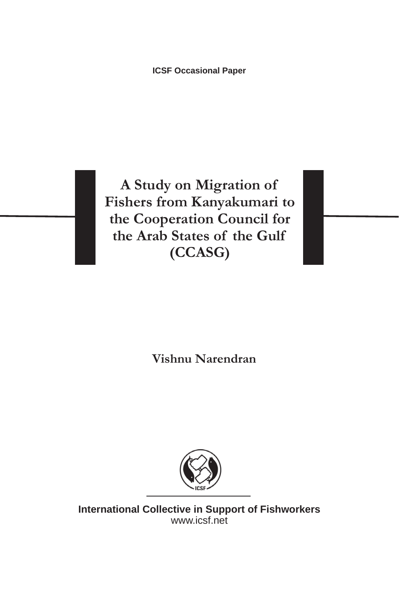**ICSF Occasional Paper**



**A Study on Migration of Fishers from Kanyakumari to the Cooperation Council for the Arab States of the Gulf (CCASG)**

**Vishnu Narendran**



**International Collective in Support of Fishworkers** www.icsf.net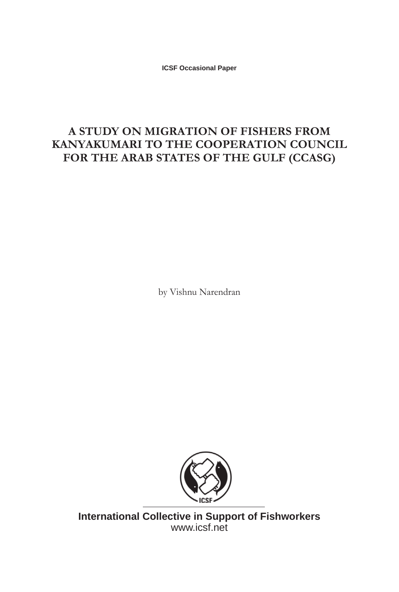**ICSF Occasional Paper**

# **A STUDY ON MIGRATION OF FISHERS FROM KANYAKUMARI TO THE COOPERATION COUNCIL FOR THE ARAB STATES OF THE GULF (CCASG)**

by Vishnu Narendran



**International Collective in Support of Fishworkers** www.icsf.net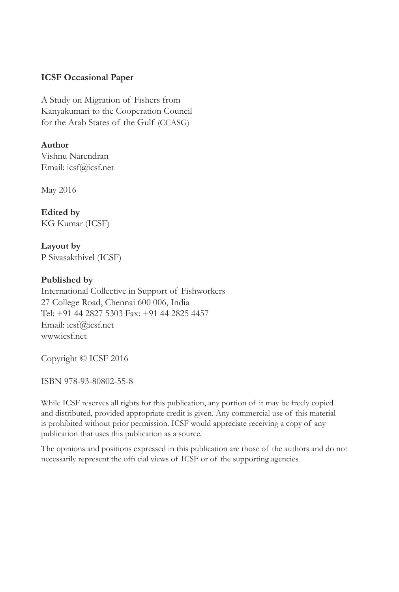#### **ICSF Occasional Paper**

A Study on Migration of Fishers from Kanyakumari to the Cooperation Council for the Arab States of the Gulf (CCASG)

**Author** Vishnu Narendran Email: icsf@icsf.net

May 2016

**Edited by** KG Kumar (ICSF)

**Layout by** P Sivasakthivel (ICSF)

### **Published by**

International Collective in Support of Fishworkers 27 College Road, Chennai 600 006, India Tel: +91 44 2827 5303 Fax: +91 44 2825 4457 Email: icsf@icsf.net www.icsf.net

Copyright © ICSF 2016

ISBN 978-93-80802-55-8

While ICSF reserves all rights for this publication, any portion of it may be freely copied and distributed, provided appropriate credit is given. Any commercial use of this material is prohibited without prior permission. ICSF would appreciate receiving a copy of any publication that uses this publication as a source.

The opinions and positions expressed in this publication are those of the authors and do not necessarily represent the offi cial views of ICSF or of the supporting agencies.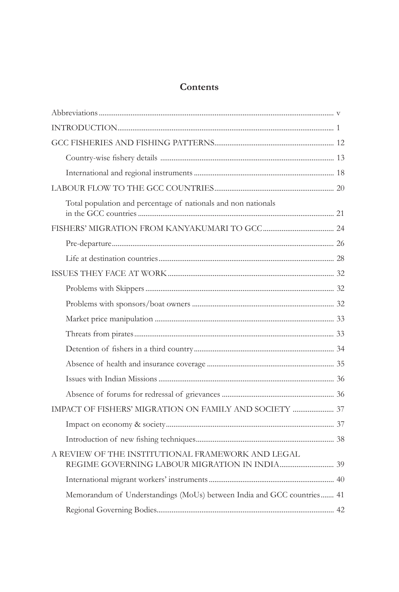# **Contents**

| Total population and percentage of nationals and non nationals         |  |
|------------------------------------------------------------------------|--|
|                                                                        |  |
|                                                                        |  |
|                                                                        |  |
|                                                                        |  |
|                                                                        |  |
|                                                                        |  |
|                                                                        |  |
|                                                                        |  |
|                                                                        |  |
|                                                                        |  |
|                                                                        |  |
|                                                                        |  |
|                                                                        |  |
|                                                                        |  |
|                                                                        |  |
| A REVIEW OF THE INSTITUTIONAL FRAMEWORK AND LEGAL                      |  |
|                                                                        |  |
| Memorandum of Understandings (MoUs) between India and GCC countries 41 |  |
|                                                                        |  |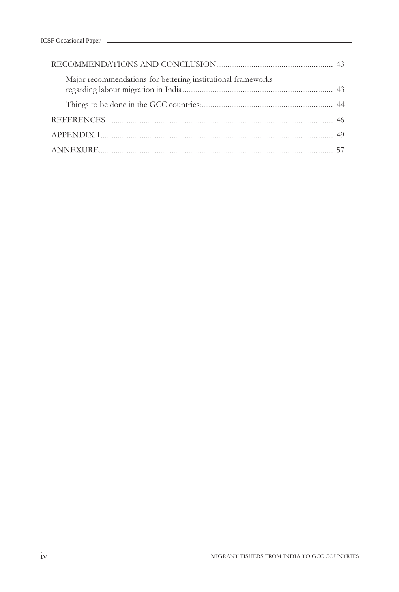| Major recommendations for bettering institutional frameworks |  |
|--------------------------------------------------------------|--|
|                                                              |  |
|                                                              |  |
|                                                              |  |
|                                                              |  |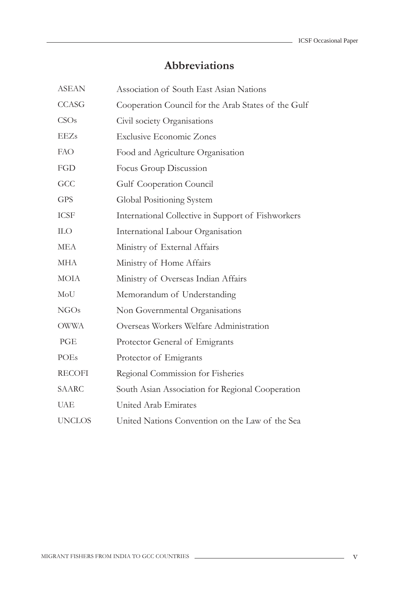# **Abbreviations**

| <b>ASEAN</b>     | Association of South East Asian Nations             |  |  |
|------------------|-----------------------------------------------------|--|--|
| <b>CCASG</b>     | Cooperation Council for the Arab States of the Gulf |  |  |
| CSOs             | Civil society Organisations                         |  |  |
| EEZs             | <b>Exclusive Economic Zones</b>                     |  |  |
| <b>FAO</b>       | Food and Agriculture Organisation                   |  |  |
| FGD              | Focus Group Discussion                              |  |  |
| GCC              | Gulf Cooperation Council                            |  |  |
| <b>GPS</b>       | Global Positioning System                           |  |  |
| <b>ICSF</b>      | International Collective in Support of Fishworkers  |  |  |
| ${\rm ILO}$      | International Labour Organisation                   |  |  |
| <b>MEA</b>       | Ministry of External Affairs                        |  |  |
| MHA              | Ministry of Home Affairs                            |  |  |
| <b>MOIA</b>      | Ministry of Overseas Indian Affairs                 |  |  |
| MoU              | Memorandum of Understanding                         |  |  |
| NGO <sub>s</sub> | Non Governmental Organisations                      |  |  |
| <b>OWWA</b>      | Overseas Workers Welfare Administration             |  |  |
| PGE              | Protector General of Emigrants                      |  |  |
| POEs             | Protector of Emigrants                              |  |  |
| <b>RECOFI</b>    | Regional Commission for Fisheries                   |  |  |
| SAARC            | South Asian Association for Regional Cooperation    |  |  |
| <b>UAE</b>       | United Arab Emirates                                |  |  |
| <b>UNCLOS</b>    | United Nations Convention on the Law of the Sea     |  |  |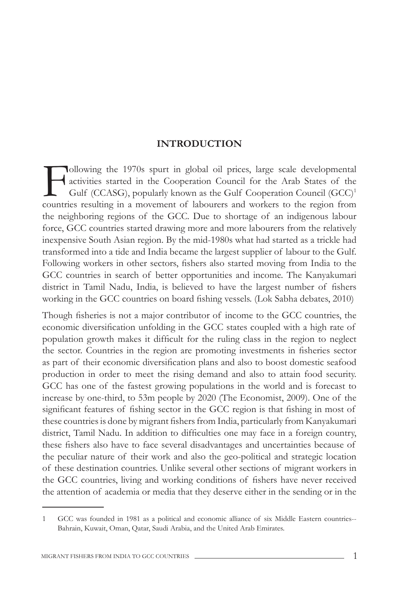#### **INTRODUCTION**

Following the 1970s spurt in global oil prices, large scale developmental<br>activities started in the Cooperation Council for the Arab States of the<br>Gulf (CCASG), popularly known as the Gulf Cooperation Council (GCC)<sup>1</sup><br>coun activities started in the Cooperation Council for the Arab States of the Gulf (CCASG), popularly known as the Gulf Cooperation Council (GCC)<sup>1</sup> countries resulting in a movement of labourers and workers to the region from the neighboring regions of the GCC. Due to shortage of an indigenous labour force, GCC countries started drawing more and more labourers from the relatively inexpensive South Asian region. By the mid-1980s what had started as a trickle had transformed into a tide and India became the largest supplier of labour to the Gulf. Following workers in other sectors, fishers also started moving from India to the GCC countries in search of better opportunities and income. The Kanyakumari district in Tamil Nadu, India, is believed to have the largest number of fishers working in the GCC countries on board fishing vessels. (Lok Sabha debates, 2010)

Though fisheries is not a major contributor of income to the GCC countries, the economic diversification unfolding in the GCC states coupled with a high rate of population growth makes it difficult for the ruling class in the region to neglect the sector. Countries in the region are promoting investments in fisheries sector as part of their economic diversification plans and also to boost domestic seafood production in order to meet the rising demand and also to attain food security. GCC has one of the fastest growing populations in the world and is forecast to increase by one-third, to 53m people by 2020 (The Economist, 2009). One of the significant features of fishing sector in the GCC region is that fishing in most of these countries is done by migrant fishers from India, particularly from Kanyakumari district, Tamil Nadu. In addition to difficulties one may face in a foreign country, these fishers also have to face several disadvantages and uncertainties because of the peculiar nature of their work and also the geo-political and strategic location of these destination countries. Unlike several other sections of migrant workers in the GCC countries, living and working conditions of fishers have never received the attention of academia or media that they deserve either in the sending or in the

<sup>1</sup> GCC was founded in 1981 as a political and economic alliance of six Middle Eastern countries-- Bahrain, Kuwait, Oman, Qatar, Saudi Arabia, and the United Arab Emirates.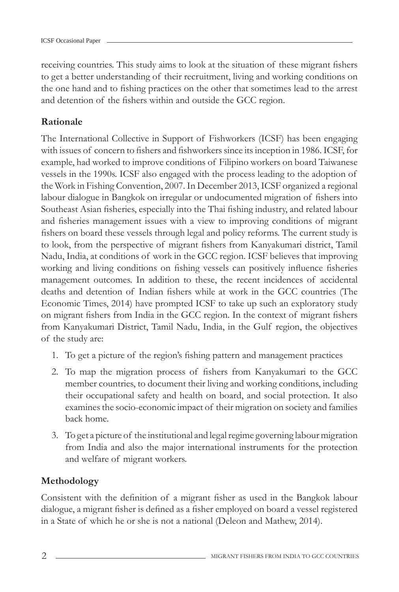receiving countries. This study aims to look at the situation of these migrant fishers to get a better understanding of their recruitment, living and working conditions on the one hand and to fishing practices on the other that sometimes lead to the arrest and detention of the fishers within and outside the GCC region.

# **Rationale**

The International Collective in Support of Fishworkers (ICSF) has been engaging with issues of concern to fishers and fishworkers since its inception in 1986. ICSF, for example, had worked to improve conditions of Filipino workers on board Taiwanese vessels in the 1990s. ICSF also engaged with the process leading to the adoption of the Work in Fishing Convention, 2007. In December 2013, ICSF organized a regional labour dialogue in Bangkok on irregular or undocumented migration of fishers into Southeast Asian fisheries, especially into the Thai fishing industry, and related labour and fisheries management issues with a view to improving conditions of migrant fishers on board these vessels through legal and policy reforms. The current study is to look, from the perspective of migrant fishers from Kanyakumari district, Tamil Nadu, India, at conditions of work in the GCC region. ICSF believes that improving working and living conditions on fishing vessels can positively influence fisheries management outcomes. In addition to these, the recent incidences of accidental deaths and detention of Indian fishers while at work in the GCC countries (The Economic Times, 2014) have prompted ICSF to take up such an exploratory study on migrant fishers from India in the GCC region. In the context of migrant fishers from Kanyakumari District, Tamil Nadu, India, in the Gulf region, the objectives of the study are:

- 1. To get a picture of the region's fishing pattern and management practices
- 2. To map the migration process of fishers from Kanyakumari to the GCC member countries, to document their living and working conditions, including their occupational safety and health on board, and social protection. It also examines the socio-economic impact of their migration on society and families back home.
- 3. To get a picture of the institutional and legal regime governing labour migration from India and also the major international instruments for the protection and welfare of migrant workers.

### **Methodology**

Consistent with the definition of a migrant fisher as used in the Bangkok labour dialogue, a migrant fisher is defined as a fisher employed on board a vessel registered in a State of which he or she is not a national (Deleon and Mathew, 2014).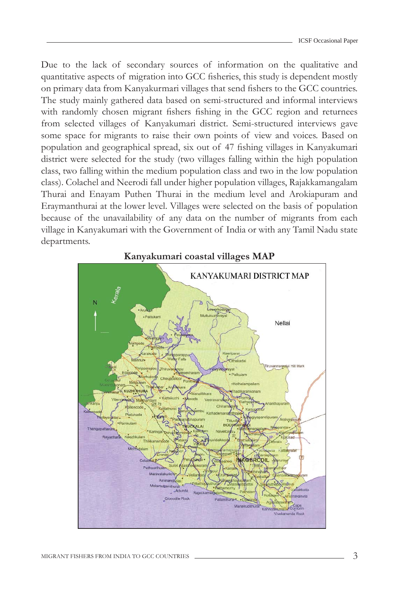Due to the lack of secondary sources of information on the qualitative and quantitative aspects of migration into GCC fisheries, this study is dependent mostly on primary data from Kanyakurmari villages that send fishers to the GCC countries. The study mainly gathered data based on semi-structured and informal interviews with randomly chosen migrant fishers fishing in the GCC region and returnees from selected villages of Kanyakumari district. Semi-structured interviews gave some space for migrants to raise their own points of view and voices. Based on population and geographical spread, six out of 47 fi shing villages in Kanyakumari district were selected for the study (two villages falling within the high population class, two falling within the medium population class and two in the low population class). Colachel and Neerodi fall under higher population villages, Rajakkamangalam Thurai and Enayam Puthen Thurai in the medium level and Arokiapuram and Eraymanthurai at the lower level. Villages were selected on the basis of population because of the unavailability of any data on the number of migrants from each village in Kanyakumari with the Government of India or with any Tamil Nadu state departments.



#### **Kanyakumari coastal villages MAP**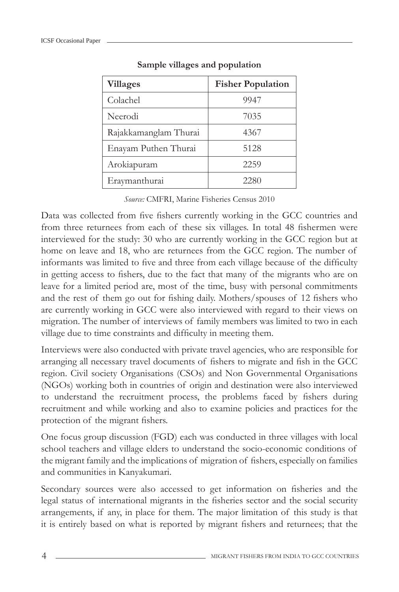| <b>Villages</b>       | <b>Fisher Population</b> |  |
|-----------------------|--------------------------|--|
| Colachel              | 9947                     |  |
| Neerodi               | 7035                     |  |
| Rajakkamanglam Thurai | 4367                     |  |
| Enayam Puthen Thurai  | 5128                     |  |
| Arokiapuram           | 2259                     |  |
| Eraymanthurai         | 2280                     |  |

#### **Sample villages and population**

*Source:* CMFRI, Marine Fisheries Census 2010

Data was collected from five fishers currently working in the GCC countries and from three returnees from each of these six villages. In total 48 fishermen were interviewed for the study: 30 who are currently working in the GCC region but at home on leave and 18, who are returnees from the GCC region. The number of informants was limited to five and three from each village because of the difficulty in getting access to fishers, due to the fact that many of the migrants who are on leave for a limited period are, most of the time, busy with personal commitments and the rest of them go out for fishing daily. Mothers/spouses of 12 fishers who are currently working in GCC were also interviewed with regard to their views on migration. The number of interviews of family members was limited to two in each village due to time constraints and difficulty in meeting them.

Interviews were also conducted with private travel agencies, who are responsible for arranging all necessary travel documents of fishers to migrate and fish in the GCC region. Civil society Organisations (CSOs) and Non Governmental Organisations (NGOs) working both in countries of origin and destination were also interviewed to understand the recruitment process, the problems faced by fishers during recruitment and while working and also to examine policies and practices for the protection of the migrant fishers.

One focus group discussion (FGD) each was conducted in three villages with local school teachers and village elders to understand the socio-economic conditions of the migrant family and the implications of migration of fishers, especially on families and communities in Kanyakumari.

Secondary sources were also accessed to get information on fisheries and the legal status of international migrants in the fisheries sector and the social security arrangements, if any, in place for them. The major limitation of this study is that it is entirely based on what is reported by migrant fishers and returnees; that the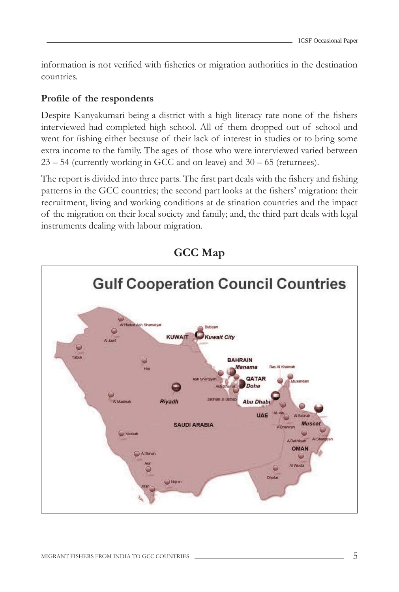information is not verified with fisheries or migration authorities in the destination countries.

#### **Profile of the respondents**

Despite Kanyakumari being a district with a high literacy rate none of the fishers interviewed had completed high school. All of them dropped out of school and went for fishing either because of their lack of interest in studies or to bring some extra income to the family. The ages of those who were interviewed varied between 23 – 54 (currently working in GCC and on leave) and 30 – 65 (returnees).

The report is divided into three parts. The first part deals with the fishery and fishing patterns in the GCC countries; the second part looks at the fishers' migration: their recruitment, living and working conditions at de stination countries and the impact of the migration on their local society and family; and, the third part deals with legal instruments dealing with labour migration.



**GCC Map**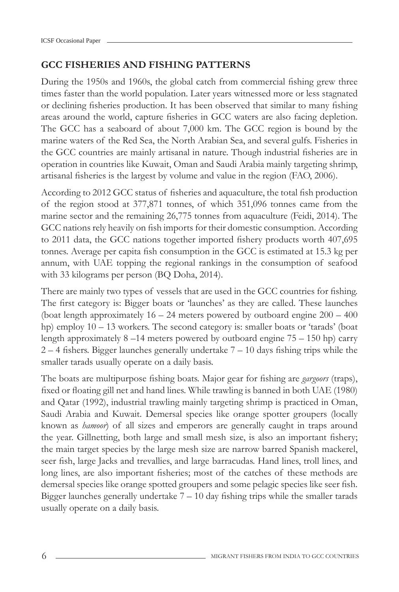# **GCC FISHERIES AND FISHING PATTERNS**

During the 1950s and 1960s, the global catch from commercial fishing grew three times faster than the world population. Later years witnessed more or less stagnated or declining fisheries production. It has been observed that similar to many fishing areas around the world, capture fisheries in GCC waters are also facing depletion. The GCC has a seaboard of about 7,000 km. The GCC region is bound by the marine waters of the Red Sea, the North Arabian Sea, and several gulfs. Fisheries in the GCC countries are mainly artisanal in nature. Though industrial fisheries are in operation in countries like Kuwait, Oman and Saudi Arabia mainly targeting shrimp, artisanal fisheries is the largest by volume and value in the region (FAO, 2006).

According to 2012 GCC status of fisheries and aquaculture, the total fish production of the region stood at 377,871 tonnes, of which 351,096 tonnes came from the marine sector and the remaining 26,775 tonnes from aquaculture (Feidi, 2014). The GCC nations rely heavily on fish imports for their domestic consumption. According to 2011 data, the GCC nations together imported fishery products worth 407,695 tonnes. Average per capita fish consumption in the GCC is estimated at 15.3 kg per annum, with UAE topping the regional rankings in the consumption of seafood with 33 kilograms per person (BQ Doha, 2014).

There are mainly two types of vessels that are used in the GCC countries for fishing. The first category is: Bigger boats or 'launches' as they are called. These launches (boat length approximately 16 – 24 meters powered by outboard engine 200 – 400 hp) employ 10 – 13 workers. The second category is: smaller boats or 'tarads' (boat length approximately 8 –14 meters powered by outboard engine 75 – 150 hp) carry  $2 - 4$  fishers. Bigger launches generally undertake  $7 - 10$  days fishing trips while the smaller tarads usually operate on a daily basis.

The boats are multipurpose fishing boats. Major gear for fishing are *gargoors* (traps), fixed or floating gill net and hand lines. While trawling is banned in both UAE (1980) and Qatar (1992), industrial trawling mainly targeting shrimp is practiced in Oman, Saudi Arabia and Kuwait. Demersal species like orange spotter groupers (locally known as *hamoor*) of all sizes and emperors are generally caught in traps around the year. Gillnetting, both large and small mesh size, is also an important fishery; the main target species by the large mesh size are narrow barred Spanish mackerel, seer fish, large Jacks and trevallies, and large barracudas. Hand lines, troll lines, and long lines, are also important fisheries; most of the catches of these methods are demersal species like orange spotted groupers and some pelagic species like seer fish. Bigger launches generally undertake  $7 - 10$  day fishing trips while the smaller tarads usually operate on a daily basis.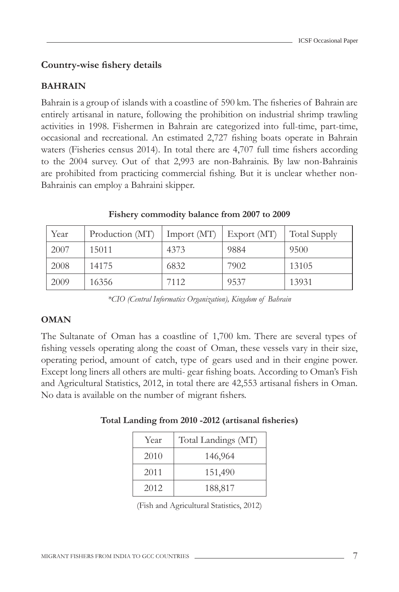# **Country-wise fishery details**

## **BAHRAIN**

Bahrain is a group of islands with a coastline of 590 km. The fisheries of Bahrain are entirely artisanal in nature, following the prohibition on industrial shrimp trawling activities in 1998. Fishermen in Bahrain are categorized into full-time, part-time, occasional and recreational. An estimated 2,727 fishing boats operate in Bahrain waters (Fisheries census 2014). In total there are 4,707 full time fishers according to the 2004 survey. Out of that 2,993 are non-Bahrainis. By law non-Bahrainis are prohibited from practicing commercial fishing. But it is unclear whether non-Bahrainis can employ a Bahraini skipper.

| Year | Production (MT) | Import (MT) | $\mathbb{E}$ xport (MT) | Total Supply |
|------|-----------------|-------------|-------------------------|--------------|
| 2007 | 15011           | 4373        | 9884                    | 9500         |
| 2008 | 14175           | 6832        | 7902                    | 13105        |
| 2009 | 16356           | 7112        | 9537                    | 13931        |

**Fishery commodity balance from 2007 to 2009**

*\*CIO (Central Informatics Organization), Kingdom of Bahrain*

### **OMAN**

The Sultanate of Oman has a coastline of 1,700 km. There are several types of fishing vessels operating along the coast of Oman, these vessels vary in their size, operating period, amount of catch, type of gears used and in their engine power. Except long liners all others are multi-gear fishing boats. According to Oman's Fish and Agricultural Statistics, 2012, in total there are 42,553 artisanal fishers in Oman. No data is available on the number of migrant fishers.

Total Landing from 2010 -2012 (artisanal fisheries)

| Year | Total Landings (MT) |  |
|------|---------------------|--|
| 2010 | 146,964             |  |
| 2011 | 151,490             |  |
| 2012 | 188,817             |  |

(Fish and Agricultural Statistics, 2012)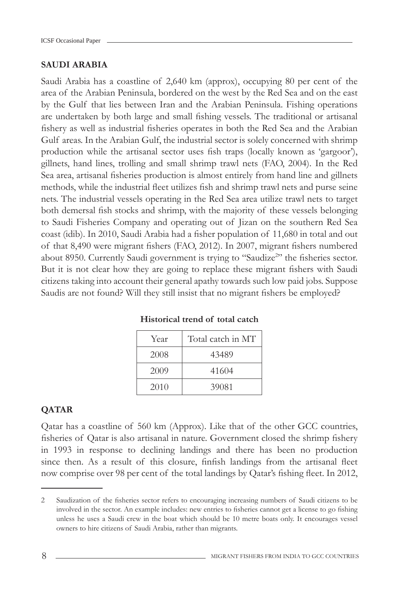### **SAUDI ARABIA**

Saudi Arabia has a coastline of 2,640 km (approx), occupying 80 per cent of the area of the Arabian Peninsula, bordered on the west by the Red Sea and on the east by the Gulf that lies between Iran and the Arabian Peninsula. Fishing operations are undertaken by both large and small fishing vessels. The traditional or artisanal fishery as well as industrial fisheries operates in both the Red Sea and the Arabian Gulf areas. In the Arabian Gulf, the industrial sector is solely concerned with shrimp production while the artisanal sector uses fish traps (locally known as 'gargoor'), gillnets, hand lines, trolling and small shrimp trawl nets (FAO, 2004). In the Red Sea area, artisanal fisheries production is almost entirely from hand line and gillnets methods, while the industrial fleet utilizes fish and shrimp trawl nets and purse seine nets. The industrial vessels operating in the Red Sea area utilize trawl nets to target both demersal fish stocks and shrimp, with the majority of these vessels belonging to Saudi Fisheries Company and operating out of Jizan on the southern Red Sea coast (idib). In 2010, Saudi Arabia had a fisher population of 11,680 in total and out of that 8,490 were migrant fishers (FAO, 2012). In 2007, migrant fishers numbered about 8950. Currently Saudi government is trying to "Saudize<sup>2</sup>" the fisheries sector. But it is not clear how they are going to replace these migrant fishers with Saudi citizens taking into account their general apathy towards such low paid jobs. Suppose Saudis are not found? Will they still insist that no migrant fishers be employed?

| Year | Total catch in MT |  |  |
|------|-------------------|--|--|
| 2008 | 43489             |  |  |
| 2009 | 41604             |  |  |
| 2010 | 39081             |  |  |

**Historical trend of total catch**

# **QATAR**

Qatar has a coastline of 560 km (Approx). Like that of the other GCC countries, fisheries of Qatar is also artisanal in nature. Government closed the shrimp fishery in 1993 in response to declining landings and there has been no production since then. As a result of this closure, finfish landings from the artisanal fleet now comprise over 98 per cent of the total landings by Qatar's fishing fleet. In 2012,

<sup>2</sup> Saudization of the fisheries sector refers to encouraging increasing numbers of Saudi citizens to be involved in the sector. An example includes: new entries to fisheries cannot get a license to go fishing unless he uses a Saudi crew in the boat which should be 10 metre boats only. It encourages vessel owners to hire citizens of Saudi Arabia, rather than migrants.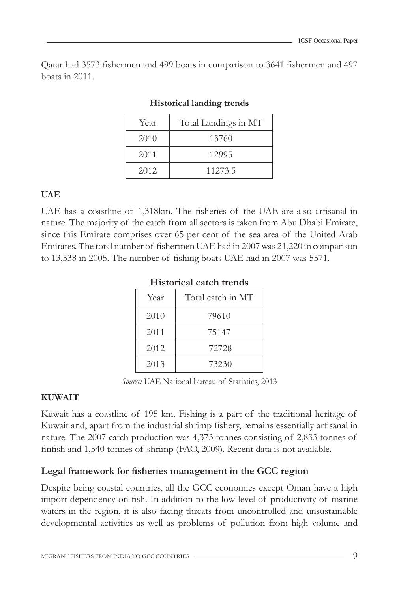Qatar had 3573 fishermen and 499 boats in comparison to 3641 fishermen and 497 boats in 2011.

| Year | Total Landings in MT |  |  |
|------|----------------------|--|--|
| 2010 | 13760                |  |  |
| 2011 | 12995                |  |  |
| 2012 | 11273.5              |  |  |

#### **Historical landing trends**

### **UAE**

UAE has a coastline of 1,318km. The fisheries of the UAE are also artisanal in nature. The majority of the catch from all sectors is taken from Abu Dhabi Emirate, since this Emirate comprises over 65 per cent of the sea area of the United Arab Emirates. The total number of fishermen UAE had in 2007 was 21,220 in comparison to 13,538 in 2005. The number of fishing boats UAE had in 2007 was 5571.

| Year | Total catch in MT |  |  |  |
|------|-------------------|--|--|--|
| 2010 | 79610             |  |  |  |
| 2011 | 75147             |  |  |  |
| 2012 | 72728             |  |  |  |
| 2013 | 73230             |  |  |  |

#### **Historical catch trends**

#### **KUWAIT**

Kuwait has a coastline of 195 km. Fishing is a part of the traditional heritage of Kuwait and, apart from the industrial shrimp fishery, remains essentially artisanal in nature. The 2007 catch production was 4,373 tonnes consisting of 2,833 tonnes of finfish and 1,540 tonnes of shrimp (FAO, 2009). Recent data is not available.

# Legal framework for fisheries management in the GCC region

Despite being coastal countries, all the GCC economies except Oman have a high import dependency on fish. In addition to the low-level of productivity of marine waters in the region, it is also facing threats from uncontrolled and unsustainable developmental activities as well as problems of pollution from high volume and

*Source:* UAE National bureau of Statistics, 2013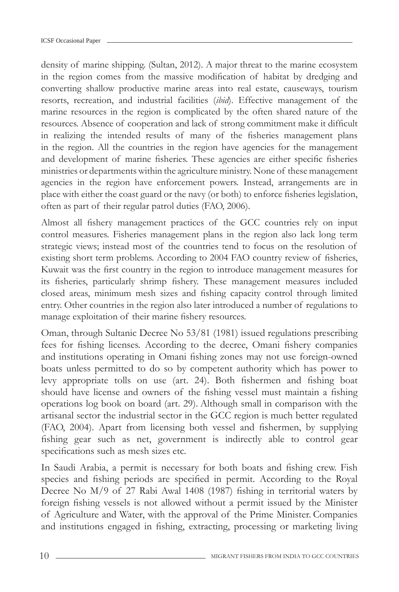density of marine shipping. (Sultan, 2012). A major threat to the marine ecosystem in the region comes from the massive modification of habitat by dredging and converting shallow productive marine areas into real estate, causeways, tourism resorts, recreation, and industrial facilities (*ibid*). Effective management of the marine resources in the region is complicated by the often shared nature of the resources. Absence of cooperation and lack of strong commitment make it difficult in realizing the intended results of many of the fisheries management plans in the region. All the countries in the region have agencies for the management and development of marine fisheries. These agencies are either specific fisheries ministries or departments within the agriculture ministry. None of these management agencies in the region have enforcement powers. Instead, arrangements are in place with either the coast guard or the navy (or both) to enforce fisheries legislation, often as part of their regular patrol duties (FAO, 2006).

Almost all fishery management practices of the GCC countries rely on input control measures. Fisheries management plans in the region also lack long term strategic views; instead most of the countries tend to focus on the resolution of existing short term problems. According to 2004 FAO country review of fisheries, Kuwait was the first country in the region to introduce management measures for its fisheries, particularly shrimp fishery. These management measures included closed areas, minimum mesh sizes and fishing capacity control through limited entry. Other countries in the region also later introduced a number of regulations to manage exploitation of their marine fishery resources.

Oman, through Sultanic Decree No 53/81 (1981) issued regulations prescribing fees for fishing licenses. According to the decree, Omani fishery companies and institutions operating in Omani fishing zones may not use foreign-owned boats unless permitted to do so by competent authority which has power to levy appropriate tolls on use (art. 24). Both fishermen and fishing boat should have license and owners of the fishing vessel must maintain a fishing operations log book on board (art. 29). Although small in comparison with the artisanal sector the industrial sector in the GCC region is much better regulated (FAO, 2004). Apart from licensing both vessel and fishermen, by supplying fishing gear such as net, government is indirectly able to control gear specifications such as mesh sizes etc.

In Saudi Arabia, a permit is necessary for both boats and fishing crew. Fish species and fishing periods are specified in permit. According to the Royal Decree No M/9 of 27 Rabi Awal 1408 (1987) fishing in territorial waters by foreign fishing vessels is not allowed without a permit issued by the Minister of Agriculture and Water, with the approval of the Prime Minister. Companies and institutions engaged in fishing, extracting, processing or marketing living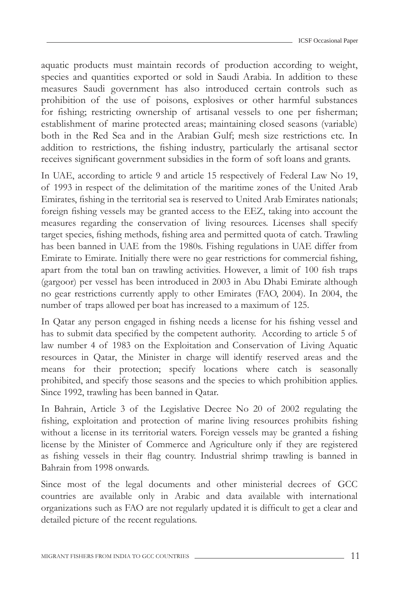aquatic products must maintain records of production according to weight, species and quantities exported or sold in Saudi Arabia. In addition to these measures Saudi government has also introduced certain controls such as prohibition of the use of poisons, explosives or other harmful substances for fishing; restricting ownership of artisanal vessels to one per fisherman; establishment of marine protected areas; maintaining closed seasons (variable) both in the Red Sea and in the Arabian Gulf; mesh size restrictions etc. In addition to restrictions, the fishing industry, particularly the artisanal sector receives significant government subsidies in the form of soft loans and grants.

In UAE, according to article 9 and article 15 respectively of Federal Law No 19, of 1993 in respect of the delimitation of the maritime zones of the United Arab Emirates, fishing in the territorial sea is reserved to United Arab Emirates nationals; foreign fishing vessels may be granted access to the EEZ, taking into account the measures regarding the conservation of living resources. Licenses shall specify target species, fishing methods, fishing area and permitted quota of catch. Trawling has been banned in UAE from the 1980s. Fishing regulations in UAE differ from Emirate to Emirate. Initially there were no gear restrictions for commercial fishing, apart from the total ban on trawling activities. However, a limit of 100 fish traps (gargoor) per vessel has been introduced in 2003 in Abu Dhabi Emirate although no gear restrictions currently apply to other Emirates (FAO, 2004). In 2004, the number of traps allowed per boat has increased to a maximum of 125.

In Qatar any person engaged in fishing needs a license for his fishing vessel and has to submit data specified by the competent authority. According to article 5 of law number 4 of 1983 on the Exploitation and Conservation of Living Aquatic resources in Qatar, the Minister in charge will identify reserved areas and the means for their protection; specify locations where catch is seasonally prohibited, and specify those seasons and the species to which prohibition applies. Since 1992, trawling has been banned in Qatar.

In Bahrain, Article 3 of the Legislative Decree No 20 of 2002 regulating the fishing, exploitation and protection of marine living resources prohibits fishing without a license in its territorial waters. Foreign vessels may be granted a fishing license by the Minister of Commerce and Agriculture only if they are registered as fishing vessels in their flag country. Industrial shrimp trawling is banned in Bahrain from 1998 onwards.

Since most of the legal documents and other ministerial decrees of GCC countries are available only in Arabic and data available with international organizations such as FAO are not regularly updated it is difficult to get a clear and detailed picture of the recent regulations.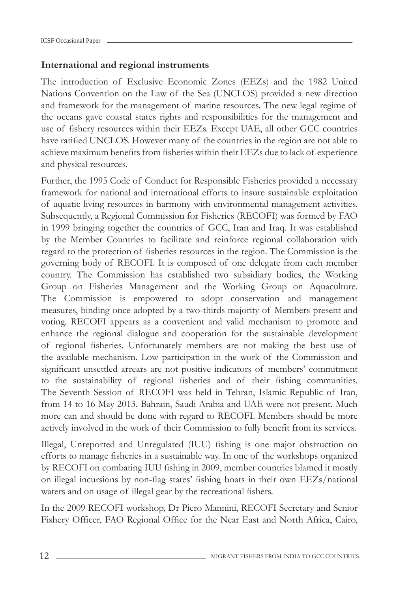### **International and regional instruments**

The introduction of Exclusive Economic Zones (EEZs) and the 1982 United Nations Convention on the Law of the Sea (UNCLOS) provided a new direction and framework for the management of marine resources. The new legal regime of the oceans gave coastal states rights and responsibilities for the management and use of fishery resources within their EEZs. Except UAE, all other GCC countries have ratified UNCLOS. However many of the countries in the region are not able to achieve maximum benefits from fisheries within their EEZs due to lack of experience and physical resources.

Further, the 1995 Code of Conduct for Responsible Fisheries provided a necessary framework for national and international efforts to insure sustainable exploitation of aquatic living resources in harmony with environmental management activities. Subsequently, a Regional Commission for Fisheries (RECOFI) was formed by FAO in 1999 bringing together the countries of GCC, Iran and Iraq. It was established by the Member Countries to facilitate and reinforce regional collaboration with regard to the protection of fisheries resources in the region. The Commission is the governing body of RECOFI. It is composed of one delegate from each member country. The Commission has established two subsidiary bodies, the Working Group on Fisheries Management and the Working Group on Aquaculture. The Commission is empowered to adopt conservation and management measures, binding once adopted by a two-thirds majority of Members present and voting. RECOFI appears as a convenient and valid mechanism to promote and enhance the regional dialogue and cooperation for the sustainable development of regional fisheries. Unfortunately members are not making the best use of the available mechanism. Low participation in the work of the Commission and significant unsettled arrears are not positive indicators of members' commitment to the sustainability of regional fisheries and of their fishing communities. The Seventh Session of RECOFI was held in Tehran, Islamic Republic of Iran, from 14 to 16 May 2013. Bahrain, Saudi Arabia and UAE were not present. Much more can and should be done with regard to RECOFI. Members should be more actively involved in the work of their Commission to fully benefit from its services.

Illegal, Unreported and Unregulated (IUU) fishing is one major obstruction on efforts to manage fisheries in a sustainable way. In one of the workshops organized by RECOFI on combating IUU fishing in 2009, member countries blamed it mostly on illegal incursions by non-flag states' fishing boats in their own EEZs/national waters and on usage of illegal gear by the recreational fishers.

In the 2009 RECOFI workshop, Dr Piero Mannini, RECOFI Secretary and Senior Fishery Officer, FAO Regional Office for the Near East and North Africa, Cairo,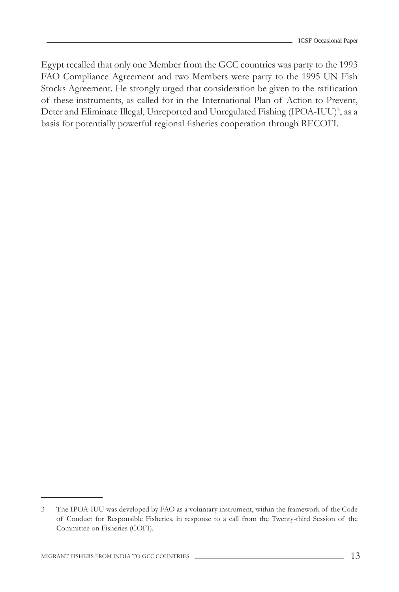Egypt recalled that only one Member from the GCC countries was party to the 1993 FAO Compliance Agreement and two Members were party to the 1995 UN Fish Stocks Agreement. He strongly urged that consideration be given to the ratification of these instruments, as called for in the International Plan of Action to Prevent, Deter and Eliminate Illegal, Unreported and Unregulated Fishing (IPOA-IUU)<sup>3</sup>, as a basis for potentially powerful regional fisheries cooperation through RECOFI.

<sup>3</sup> The IPOA-IUU was developed by FAO as a voluntary instrument, within the framework of the Code of Conduct for Responsible Fisheries, in response to a call from the Twenty-third Session of the Committee on Fisheries (COFI).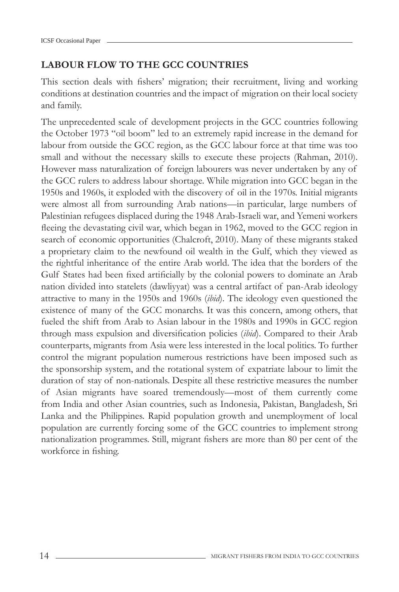# **LABOUR FLOW TO THE GCC COUNTRIES**

This section deals with fishers' migration; their recruitment, living and working conditions at destination countries and the impact of migration on their local society and family.

The unprecedented scale of development projects in the GCC countries following the October 1973 "oil boom" led to an extremely rapid increase in the demand for labour from outside the GCC region, as the GCC labour force at that time was too small and without the necessary skills to execute these projects (Rahman, 2010). However mass naturalization of foreign labourers was never undertaken by any of the GCC rulers to address labour shortage. While migration into GCC began in the 1950s and 1960s, it exploded with the discovery of oil in the 1970s. Initial migrants were almost all from surrounding Arab nations—in particular, large numbers of Palestinian refugees displaced during the 1948 Arab-Israeli war, and Yemeni workers fleeing the devastating civil war, which began in 1962, moved to the GCC region in search of economic opportunities (Chalcroft, 2010). Many of these migrants staked a proprietary claim to the newfound oil wealth in the Gulf, which they viewed as the rightful inheritance of the entire Arab world. The idea that the borders of the Gulf States had been fixed artificially by the colonial powers to dominate an Arab nation divided into statelets (dawliyyat) was a central artifact of pan-Arab ideology attractive to many in the 1950s and 1960s (*ibid*). The ideology even questioned the existence of many of the GCC monarchs. It was this concern, among others, that fueled the shift from Arab to Asian labour in the 1980s and 1990s in GCC region through mass expulsion and diversification policies *(ibid)*. Compared to their Arab counterparts, migrants from Asia were less interested in the local politics. To further control the migrant population numerous restrictions have been imposed such as the sponsorship system, and the rotational system of expatriate labour to limit the duration of stay of non-nationals. Despite all these restrictive measures the number of Asian migrants have soared tremendously—most of them currently come from India and other Asian countries, such as Indonesia, Pakistan, Bangladesh, Sri Lanka and the Philippines. Rapid population growth and unemployment of local population are currently forcing some of the GCC countries to implement strong nationalization programmes. Still, migrant fishers are more than 80 per cent of the workforce in fishing.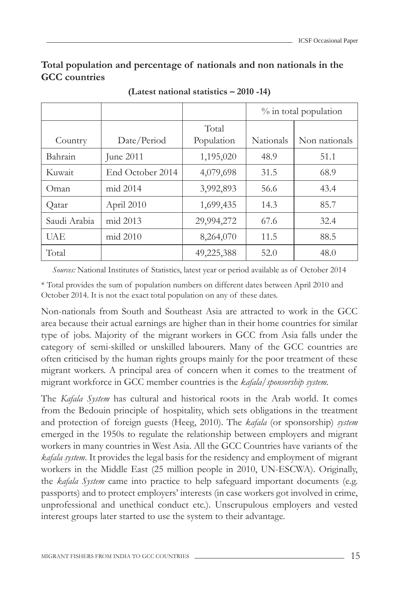# **Total population and percentage of nationals and non nationals in the GCC countries**

|              |                  |                     | $\%$ in total population |               |
|--------------|------------------|---------------------|--------------------------|---------------|
| Country      | Date/Period      | Total<br>Population | Nationals                | Non nationals |
| Bahrain      | June 2011        | 1,195,020           | 48.9                     | 51.1          |
| Kuwait       | End October 2014 | 4,079,698           | 31.5                     | 68.9          |
| Omega        | mid 2014         | 3,992,893           | 56.6                     | 43.4          |
| Qatar        | April 2010       | 1,699,435           | 14.3                     | 85.7          |
| Saudi Arabia | mid 2013         | 29,994,272          | 67.6                     | 32.4          |
| <b>TJAE</b>  | mid 2010         | 8,264,070           | 11.5                     | 88.5          |
| Total        |                  | 49,225,388          | 52.0                     | 48.0          |

**(Latest national statistics – 2010 -14)**

*Sources:* National Institutes of Statistics, latest year or period available as of October 2014

\* Total provides the sum of population numbers on different dates between April 2010 and October 2014. It is not the exact total population on any of these dates.

Non-nationals from South and Southeast Asia are attracted to work in the GCC area because their actual earnings are higher than in their home countries for similar type of jobs. Majority of the migrant workers in GCC from Asia falls under the category of semi-skilled or unskilled labourers. Many of the GCC countries are often criticised by the human rights groups mainly for the poor treatment of these migrant workers. A principal area of concern when it comes to the treatment of migrant workforce in GCC member countries is the *kafala/sponsorship system.*

The *Kafala System* has cultural and historical roots in the Arab world. It comes from the Bedouin principle of hospitality, which sets obligations in the treatment and protection of foreign guests (Heeg, 2010). The *kafala* (or sponsorship) *system*  emerged in the 1950s to regulate the relationship between employers and migrant workers in many countries in West Asia. All the GCC Countries have variants of the *kafala system*. It provides the legal basis for the residency and employment of migrant workers in the Middle East (25 million people in 2010, UN-ESCWA). Originally, the *kafala System* came into practice to help safeguard important documents (e.g. passports) and to protect employers' interests (in case workers got involved in crime, unprofessional and unethical conduct etc.). Unscrupulous employers and vested interest groups later started to use the system to their advantage.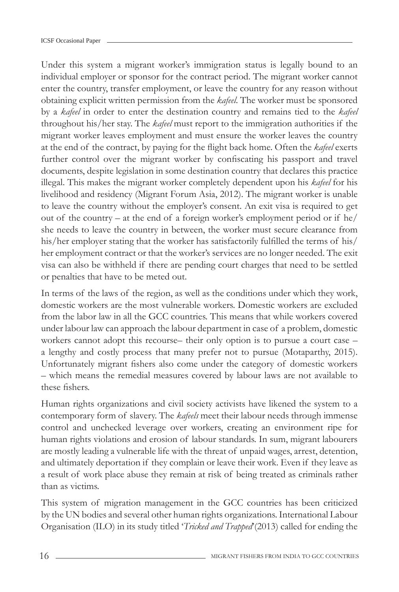Under this system a migrant worker's immigration status is legally bound to an individual employer or sponsor for the contract period. The migrant worker cannot enter the country, transfer employment, or leave the country for any reason without obtaining explicit written permission from the *kafeel*. The worker must be sponsored by a *kafeel* in order to enter the destination country and remains tied to the *kafeel*  throughout his/her stay. The *kafeel* must report to the immigration authorities if the migrant worker leaves employment and must ensure the worker leaves the country at the end of the contract, by paying for the flight back home. Often the *kafeel* exerts further control over the migrant worker by confiscating his passport and travel documents, despite legislation in some destination country that declares this practice illegal. This makes the migrant worker completely dependent upon his *kafeel* for his livelihood and residency (Migrant Forum Asia, 2012). The migrant worker is unable to leave the country without the employer's consent. An exit visa is required to get out of the country – at the end of a foreign worker's employment period or if he/ she needs to leave the country in between, the worker must secure clearance from his/her employer stating that the worker has satisfactorily fulfilled the terms of his/ her employment contract or that the worker's services are no longer needed. The exit visa can also be withheld if there are pending court charges that need to be settled or penalties that have to be meted out.

In terms of the laws of the region, as well as the conditions under which they work, domestic workers are the most vulnerable workers. Domestic workers are excluded from the labor law in all the GCC countries. This means that while workers covered under labour law can approach the labour department in case of a problem, domestic workers cannot adopt this recourse– their only option is to pursue a court case – a lengthy and costly process that many prefer not to pursue (Motaparthy, 2015). Unfortunately migrant fishers also come under the category of domestic workers – which means the remedial measures covered by labour laws are not available to these fishers.

Human rights organizations and civil society activists have likened the system to a contemporary form of slavery. The *kafeels* meet their labour needs through immense control and unchecked leverage over workers, creating an environment ripe for human rights violations and erosion of labour standards. In sum, migrant labourers are mostly leading a vulnerable life with the threat of unpaid wages, arrest, detention, and ultimately deportation if they complain or leave their work. Even if they leave as a result of work place abuse they remain at risk of being treated as criminals rather than as victims.

This system of migration management in the GCC countries has been criticized by the UN bodies and several other human rights organizations. International Labour Organisation (ILO) in its study titled '*Tricked and Trapped*'(2013) called for ending the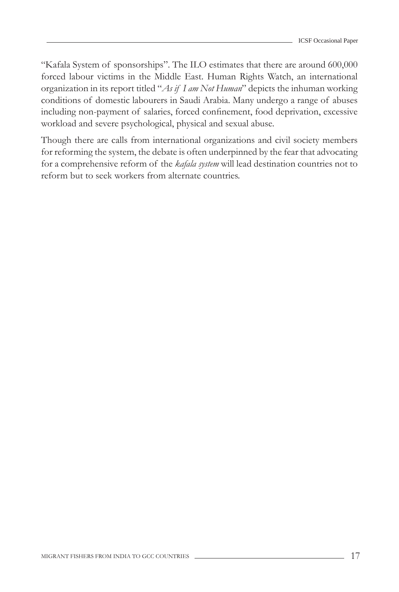"Kafala System of sponsorships". The ILO estimates that there are around 600,000 forced labour victims in the Middle East. Human Rights Watch, an international organization in its report titled "*As if I am Not Human*" depicts the inhuman working conditions of domestic labourers in Saudi Arabia. Many undergo a range of abuses including non-payment of salaries, forced confinement, food deprivation, excessive workload and severe psychological, physical and sexual abuse.

Though there are calls from international organizations and civil society members for reforming the system, the debate is often underpinned by the fear that advocating for a comprehensive reform of the *kafala system* will lead destination countries not to reform but to seek workers from alternate countries.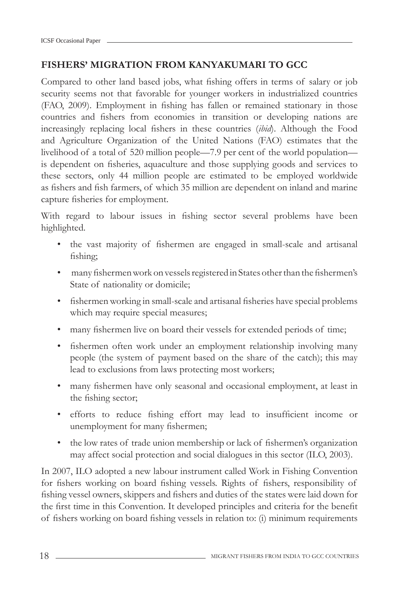## **FISHERS' MIGRATION FROM KANYAKUMARI TO GCC**

Compared to other land based jobs, what fishing offers in terms of salary or job security seems not that favorable for younger workers in industrialized countries (FAO, 2009). Employment in fishing has fallen or remained stationary in those countries and fishers from economies in transition or developing nations are increasingly replacing local fishers in these countries *(ibid)*. Although the Food and Agriculture Organization of the United Nations (FAO) estimates that the livelihood of a total of 520 million people—7.9 per cent of the world population is dependent on fisheries, aquaculture and those supplying goods and services to these sectors, only 44 million people are estimated to be employed worldwide as fishers and fish farmers, of which 35 million are dependent on inland and marine capture fisheries for employment.

With regard to labour issues in fishing sector several problems have been highlighted.

- the vast majority of fishermen are engaged in small-scale and artisanal fishing;
- many fishermen work on vessels registered in States other than the fishermen's State of nationality or domicile;
- fishermen working in small-scale and artisanal fisheries have special problems which may require special measures;
- many fishermen live on board their vessels for extended periods of time;
- fishermen often work under an employment relationship involving many people (the system of payment based on the share of the catch); this may lead to exclusions from laws protecting most workers;
- many fishermen have only seasonal and occasional employment, at least in the fishing sector;
- efforts to reduce fishing effort may lead to insufficient income or unemployment for many fishermen;
- the low rates of trade union membership or lack of fishermen's organization may affect social protection and social dialogues in this sector (ILO, 2003).

In 2007, ILO adopted a new labour instrument called Work in Fishing Convention for fishers working on board fishing vessels. Rights of fishers, responsibility of fishing vessel owners, skippers and fishers and duties of the states were laid down for the first time in this Convention. It developed principles and criteria for the benefit of fishers working on board fishing vessels in relation to: (i) minimum requirements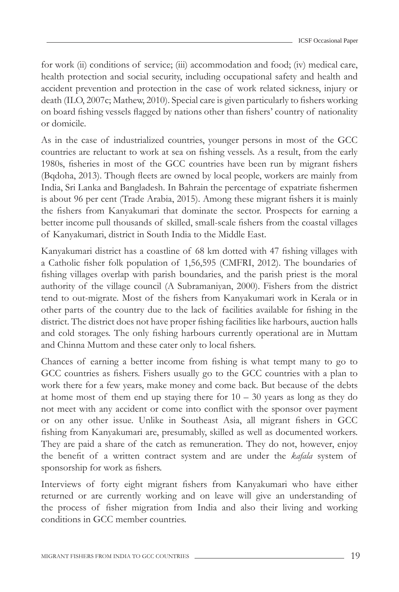for work (ii) conditions of service; (iii) accommodation and food; (iv) medical care, health protection and social security, including occupational safety and health and accident prevention and protection in the case of work related sickness, injury or death (ILO, 2007c; Mathew, 2010). Special care is given particularly to fishers working on board fishing vessels flagged by nations other than fishers' country of nationality or domicile.

As in the case of industrialized countries, younger persons in most of the GCC countries are reluctant to work at sea on fishing vessels. As a result, from the early 1980s, fisheries in most of the GCC countries have been run by migrant fishers (Bqdoha, 2013). Though fleets are owned by local people, workers are mainly from India, Sri Lanka and Bangladesh. In Bahrain the percentage of expatriate fishermen is about 96 per cent (Trade Arabia, 2015). Among these migrant fishers it is mainly the fishers from Kanyakumari that dominate the sector. Prospects for earning a better income pull thousands of skilled, small-scale fishers from the coastal villages of Kanyakumari, district in South India to the Middle East.

Kanyakumari district has a coastline of 68 km dotted with 47 fishing villages with a Catholic fisher folk population of 1,56,595 (CMFRI, 2012). The boundaries of fishing villages overlap with parish boundaries, and the parish priest is the moral authority of the village council (A Subramaniyan, 2000). Fishers from the district tend to out-migrate. Most of the fishers from Kanyakumari work in Kerala or in other parts of the country due to the lack of facilities available for fishing in the district. The district does not have proper fishing facilities like harbours, auction halls and cold storages. The only fishing harbours currently operational are in Muttam and Chinna Muttom and these cater only to local fishers.

Chances of earning a better income from fishing is what tempt many to go to GCC countries as fishers. Fishers usually go to the GCC countries with a plan to work there for a few years, make money and come back. But because of the debts at home most of them end up staying there for  $10 - 30$  years as long as they do not meet with any accident or come into conflict with the sponsor over payment or on any other issue. Unlike in Southeast Asia, all migrant fishers in GCC fishing from Kanyakumari are, presumably, skilled as well as documented workers. They are paid a share of the catch as remuneration. They do not, however, enjoy the benefit of a written contract system and are under the *kafala* system of sponsorship for work as fishers.

Interviews of forty eight migrant fishers from Kanyakumari who have either returned or are currently working and on leave will give an understanding of the process of fisher migration from India and also their living and working conditions in GCC member countries.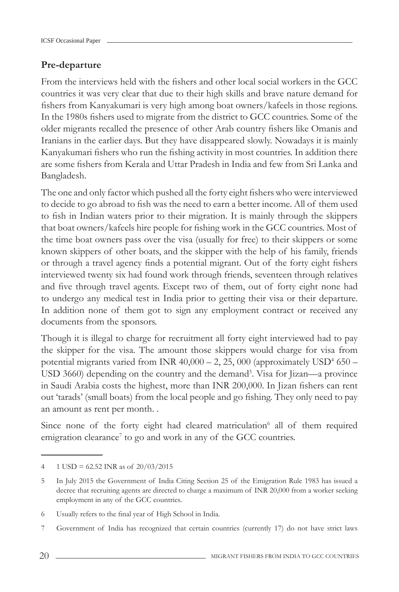# **Pre-departure**

From the interviews held with the fishers and other local social workers in the GCC countries it was very clear that due to their high skills and brave nature demand for fishers from Kanyakumari is very high among boat owners/kafeels in those regions. In the 1980s fishers used to migrate from the district to GCC countries. Some of the older migrants recalled the presence of other Arab country fishers like Omanis and Iranians in the earlier days. But they have disappeared slowly. Nowadays it is mainly Kanyakumari fishers who run the fishing activity in most countries. In addition there are some fishers from Kerala and Uttar Pradesh in India and few from Sri Lanka and Bangladesh.

The one and only factor which pushed all the forty eight fishers who were interviewed to decide to go abroad to fish was the need to earn a better income. All of them used to fish in Indian waters prior to their migration. It is mainly through the skippers that boat owners/kafeels hire people for fishing work in the GCC countries. Most of the time boat owners pass over the visa (usually for free) to their skippers or some known skippers of other boats, and the skipper with the help of his family, friends or through a travel agency finds a potential migrant. Out of the forty eight fishers interviewed twenty six had found work through friends, seventeen through relatives and five through travel agents. Except two of them, out of forty eight none had to undergo any medical test in India prior to getting their visa or their departure. In addition none of them got to sign any employment contract or received any documents from the sponsors.

Though it is illegal to charge for recruitment all forty eight interviewed had to pay the skipper for the visa. The amount those skippers would charge for visa from potential migrants varied from INR  $40,000 - 2, 25, 000$  (approximately  $\mathrm{USD^4\,650-}$ USD 3660) depending on the country and the demand<sup>5</sup>. Visa for Jizan—a province in Saudi Arabia costs the highest, more than INR 200,000. In Jizan fishers can rent out 'tarads' (small boats) from the local people and go fishing. They only need to pay an amount as rent per month. .

Since none of the forty eight had cleared matriculation $6$  all of them required emigration clearance<sup>7</sup> to go and work in any of the GCC countries.

<sup>4 1</sup> USD = 62.52 INR as of  $20/03/2015$ 

<sup>5</sup> In July 2015 the Government of India Citing Section 25 of the Emigration Rule 1983 has issued a decree that recruiting agents are directed to charge a maximum of INR 20,000 from a worker seeking employment in any of the GCC countries.

<sup>6</sup> Usually refers to the final year of High School in India.

<sup>7</sup> Government of India has recognized that certain countries (currently 17) do not have strict laws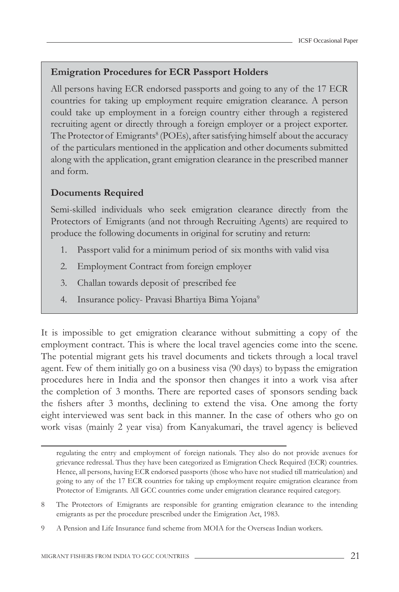#### **Emigration Procedures for ECR Passport Holders**

All persons having ECR endorsed passports and going to any of the 17 ECR countries for taking up employment require emigration clearance. A person could take up employment in a foreign country either through a registered recruiting agent or directly through a foreign employer or a project exporter. The Protector of Emigrants<sup>8</sup> (POEs), after satisfying himself about the accuracy of the particulars mentioned in the application and other documents submitted along with the application, grant emigration clearance in the prescribed manner and form.

### **Documents Required**

Semi-skilled individuals who seek emigration clearance directly from the Protectors of Emigrants (and not through Recruiting Agents) are required to produce the following documents in original for scrutiny and return:

- 1. Passport valid for a minimum period of six months with valid visa
- 2. Employment Contract from foreign employer
- 3. Challan towards deposit of prescribed fee
- 4. Insurance policy- Pravasi Bhartiya Bima Yojana<sup>9</sup>

It is impossible to get emigration clearance without submitting a copy of the employment contract. This is where the local travel agencies come into the scene. The potential migrant gets his travel documents and tickets through a local travel agent. Few of them initially go on a business visa (90 days) to bypass the emigration procedures here in India and the sponsor then changes it into a work visa after the completion of 3 months. There are reported cases of sponsors sending back the fishers after 3 months, declining to extend the visa. One among the forty eight interviewed was sent back in this manner. In the case of others who go on work visas (mainly 2 year visa) from Kanyakumari, the travel agency is believed

regulating the entry and employment of foreign nationals. They also do not provide avenues for grievance redressal. Thus they have been categorized as Emigration Check Required (ECR) countries. Hence, all persons, having ECR endorsed passports (those who have not studied till matriculation) and going to any of the 17 ECR countries for taking up employment require emigration clearance from Protector of Emigrants. All GCC countries come under emigration clearance required category.

<sup>8</sup> The Protectors of Emigrants are responsible for granting emigration clearance to the intending emigrants as per the procedure prescribed under the Emigration Act, 1983.

<sup>9</sup> A Pension and Life Insurance fund scheme from MOIA for the Overseas Indian workers.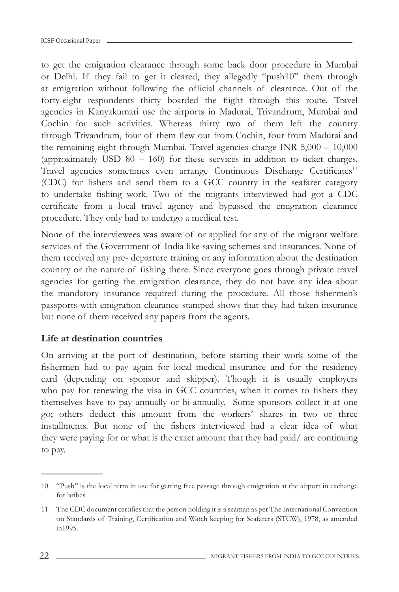to get the emigration clearance through some back door procedure in Mumbai or Delhi. If they fail to get it cleared, they allegedly "push10" them through at emigration without following the official channels of clearance. Out of the forty-eight respondents thirty boarded the flight through this route. Travel agencies in Kanyakumari use the airports in Madurai, Trivandrum, Mumbai and Cochin for such activities. Whereas thirty two of them left the country through Trivandrum, four of them flew out from Cochin, four from Madurai and the remaining eight through Mumbai. Travel agencies charge INR 5,000 – 10,000 (approximately USD 80 – 160) for these services in addition to ticket charges. Travel agencies sometimes even arrange Continuous Discharge Certificates<sup>11</sup> (CDC) for fishers and send them to a GCC country in the seafarer category to undertake fishing work. Two of the migrants interviewed had got a CDC certificate from a local travel agency and bypassed the emigration clearance procedure. They only had to undergo a medical test.

None of the interviewees was aware of or applied for any of the migrant welfare services of the Government of India like saving schemes and insurances. None of them received any pre- departure training or any information about the destination country or the nature of fishing there. Since everyone goes through private travel agencies for getting the emigration clearance, they do not have any idea about the mandatory insurance required during the procedure. All those fishermen's passports with emigration clearance stamped shows that they had taken insurance but none of them received any papers from the agents.

### **Life at destination countries**

On arriving at the port of destination, before starting their work some of the fishermen had to pay again for local medical insurance and for the residency card (depending on sponsor and skipper). Though it is usually employers who pay for renewing the visa in GCC countries, when it comes to fishers they themselves have to pay annually or bi-annually. Some sponsors collect it at one go; others deduct this amount from the workers' shares in two or three installments. But none of the fishers interviewed had a clear idea of what they were paying for or what is the exact amount that they had paid/ are continuing to pay.

<sup>10 &</sup>quot;Push" is the local term in use for getting free passage through emigration at the airport in exchange for bribes.

<sup>11</sup> The CDC document certifies that the person holding it is a seaman as per The International Convention on Standards of Training, Certification and Watch keeping for Seafarers (STCW), 1978, as amended in1995.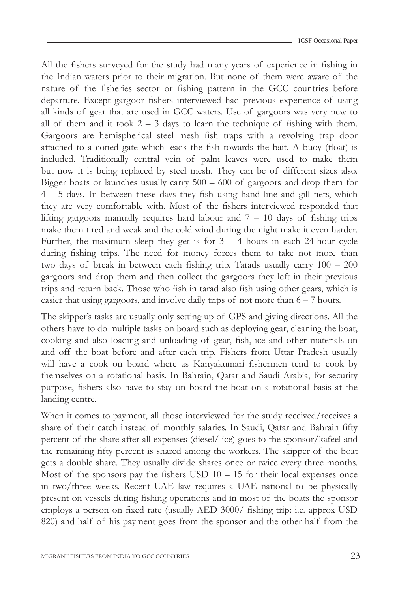All the fishers surveyed for the study had many years of experience in fishing in the Indian waters prior to their migration. But none of them were aware of the nature of the fisheries sector or fishing pattern in the GCC countries before departure. Except gargoor fishers interviewed had previous experience of using all kinds of gear that are used in GCC waters. Use of gargoors was very new to all of them and it took  $2 - 3$  days to learn the technique of fishing with them. Gargoors are hemispherical steel mesh fish traps with a revolving trap door attached to a coned gate which leads the fish towards the bait. A buoy (float) is included. Traditionally central vein of palm leaves were used to make them but now it is being replaced by steel mesh. They can be of different sizes also. Bigger boats or launches usually carry 500 – 600 of gargoors and drop them for  $4 - 5$  days. In between these days they fish using hand line and gill nets, which they are very comfortable with. Most of the fishers interviewed responded that lifting gargoors manually requires hard labour and  $7 - 10$  days of fishing trips make them tired and weak and the cold wind during the night make it even harder. Further, the maximum sleep they get is for  $3 - 4$  hours in each 24-hour cycle during fishing trips. The need for money forces them to take not more than two days of break in between each fishing trip. Tarads usually carry  $100 - 200$ gargoors and drop them and then collect the gargoors they left in their previous trips and return back. Those who fish in tarad also fish using other gears, which is easier that using gargoors, and involve daily trips of not more than 6 – 7 hours.

The skipper's tasks are usually only setting up of GPS and giving directions. All the others have to do multiple tasks on board such as deploying gear, cleaning the boat, cooking and also loading and unloading of gear, fish, ice and other materials on and off the boat before and after each trip. Fishers from Uttar Pradesh usually will have a cook on board where as Kanyakumari fishermen tend to cook by themselves on a rotational basis. In Bahrain, Qatar and Saudi Arabia, for security purpose, fi shers also have to stay on board the boat on a rotational basis at the landing centre.

When it comes to payment, all those interviewed for the study received/receives a share of their catch instead of monthly salaries. In Saudi, Qatar and Bahrain fifty percent of the share after all expenses (diesel/ ice) goes to the sponsor/kafeel and the remaining fifty percent is shared among the workers. The skipper of the boat gets a double share. They usually divide shares once or twice every three months. Most of the sponsors pay the fishers USD  $10 - 15$  for their local expenses once in two/three weeks. Recent UAE law requires a UAE national to be physically present on vessels during fishing operations and in most of the boats the sponsor employs a person on fixed rate (usually AED 3000/ fishing trip: i.e. approx USD 820) and half of his payment goes from the sponsor and the other half from the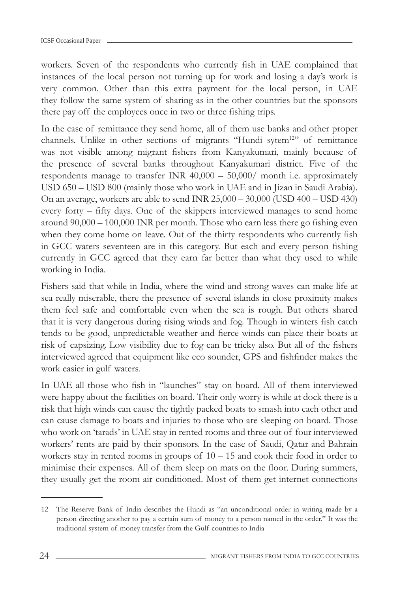workers. Seven of the respondents who currently fish in UAE complained that instances of the local person not turning up for work and losing a day's work is very common. Other than this extra payment for the local person, in UAE they follow the same system of sharing as in the other countries but the sponsors there pay off the employees once in two or three fishing trips.

In the case of remittance they send home, all of them use banks and other proper channels. Unlike in other sections of migrants "Hundi sytem<sup>12"</sup> of remittance was not visible among migrant fishers from Kanyakumari, mainly because of the presence of several banks throughout Kanyakumari district. Five of the respondents manage to transfer INR 40,000 – 50,000/ month i.e. approximately USD 650 – USD 800 (mainly those who work in UAE and in Jizan in Saudi Arabia). On an average, workers are able to send INR 25,000 – 30,000 (USD 400 – USD 430) every forty – fifty days. One of the skippers interviewed manages to send home around  $90,000 - 100,000$  INR per month. Those who earn less there go fishing even when they come home on leave. Out of the thirty respondents who currently fish in GCC waters seventeen are in this category. But each and every person fishing currently in GCC agreed that they earn far better than what they used to while working in India.

Fishers said that while in India, where the wind and strong waves can make life at sea really miserable, there the presence of several islands in close proximity makes them feel safe and comfortable even when the sea is rough. But others shared that it is very dangerous during rising winds and fog. Though in winters fish catch tends to be good, unpredictable weather and fierce winds can place their boats at risk of capsizing. Low visibility due to fog can be tricky also. But all of the fishers interviewed agreed that equipment like eco sounder, GPS and fishfinder makes the work easier in gulf waters.

In UAE all those who fish in "launches" stay on board. All of them interviewed were happy about the facilities on board. Their only worry is while at dock there is a risk that high winds can cause the tightly packed boats to smash into each other and can cause damage to boats and injuries to those who are sleeping on board. Those who work on 'tarads' in UAE stay in rented rooms and three out of four interviewed workers' rents are paid by their sponsors. In the case of Saudi, Qatar and Bahrain workers stay in rented rooms in groups of  $10 - 15$  and cook their food in order to minimise their expenses. All of them sleep on mats on the floor. During summers, they usually get the room air conditioned. Most of them get internet connections

<sup>12</sup> The Reserve Bank of India describes the Hundi as "an unconditional order in writing made by a person directing another to pay a certain sum of money to a person named in the order." It was the traditional system of money transfer from the Gulf countries to India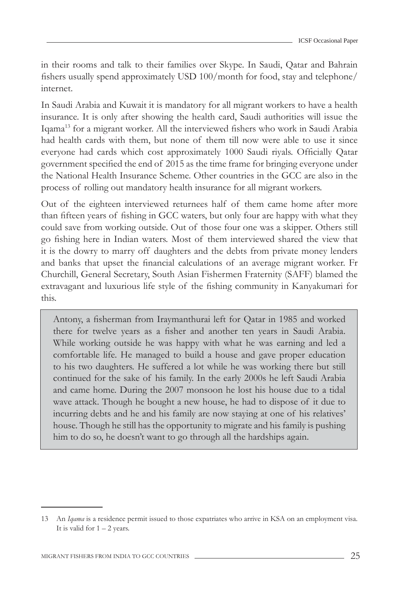in their rooms and talk to their families over Skype. In Saudi, Qatar and Bahrain fishers usually spend approximately USD 100/month for food, stay and telephone/ internet.

In Saudi Arabia and Kuwait it is mandatory for all migrant workers to have a health insurance. It is only after showing the health card, Saudi authorities will issue the Iqama<sup>13</sup> for a migrant worker. All the interviewed fishers who work in Saudi Arabia had health cards with them, but none of them till now were able to use it since everyone had cards which cost approximately 1000 Saudi riyals. Officially Qatar government specified the end of 2015 as the time frame for bringing everyone under the National Health Insurance Scheme. Other countries in the GCC are also in the process of rolling out mandatory health insurance for all migrant workers.

Out of the eighteen interviewed returnees half of them came home after more than fifteen years of fishing in GCC waters, but only four are happy with what they could save from working outside. Out of those four one was a skipper. Others still go fishing here in Indian waters. Most of them interviewed shared the view that it is the dowry to marry off daughters and the debts from private money lenders and banks that upset the financial calculations of an average migrant worker. Fr Churchill, General Secretary, South Asian Fishermen Fraternity (SAFF) blamed the extravagant and luxurious life style of the fishing community in Kanyakumari for this.

Antony, a fisherman from Iraymanthurai left for Qatar in 1985 and worked there for twelve years as a fisher and another ten years in Saudi Arabia. While working outside he was happy with what he was earning and led a comfortable life. He managed to build a house and gave proper education to his two daughters. He suffered a lot while he was working there but still continued for the sake of his family. In the early 2000s he left Saudi Arabia and came home. During the 2007 monsoon he lost his house due to a tidal wave attack. Though he bought a new house, he had to dispose of it due to incurring debts and he and his family are now staying at one of his relatives' house. Though he still has the opportunity to migrate and his family is pushing him to do so, he doesn't want to go through all the hardships again.

<sup>13</sup> An *Iqama* is a residence permit issued to those expatriates who arrive in KSA on an employment visa. It is valid for  $1 - 2$  years.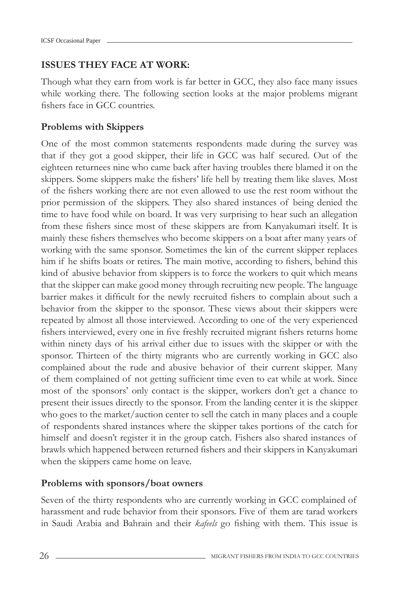# **ISSUES THEY FACE AT WORK:**

Though what they earn from work is far better in GCC, they also face many issues while working there. The following section looks at the major problems migrant fishers face in GCC countries.

# **Problems with Skippers**

One of the most common statements respondents made during the survey was that if they got a good skipper, their life in GCC was half secured. Out of the eighteen returnees nine who came back after having troubles there blamed it on the skippers. Some skippers make the fishers' life hell by treating them like slaves. Most of the fishers working there are not even allowed to use the rest room without the prior permission of the skippers. They also shared instances of being denied the time to have food while on board. It was very surprising to hear such an allegation from these fishers since most of these skippers are from Kanyakumari itself. It is mainly these fishers themselves who become skippers on a boat after many years of working with the same sponsor. Sometimes the kin of the current skipper replaces him if he shifts boats or retires. The main motive, according to fishers, behind this kind of abusive behavior from skippers is to force the workers to quit which means that the skipper can make good money through recruiting new people. The language barrier makes it difficult for the newly recruited fishers to complain about such a behavior from the skipper to the sponsor. These views about their skippers were repeated by almost all those interviewed. According to one of the very experienced fishers interviewed, every one in five freshly recruited migrant fishers returns home within ninety days of his arrival either due to issues with the skipper or with the sponsor. Thirteen of the thirty migrants who are currently working in GCC also complained about the rude and abusive behavior of their current skipper. Many of them complained of not getting sufficient time even to eat while at work. Since most of the sponsors' only contact is the skipper, workers don't get a chance to present their issues directly to the sponsor. From the landing center it is the skipper who goes to the market/auction center to sell the catch in many places and a couple of respondents shared instances where the skipper takes portions of the catch for himself and doesn't register it in the group catch. Fishers also shared instances of brawls which happened between returned fishers and their skippers in Kanyakumari when the skippers came home on leave.

### **Problems with sponsors/boat owners**

Seven of the thirty respondents who are currently working in GCC complained of harassment and rude behavior from their sponsors. Five of them are tarad workers in Saudi Arabia and Bahrain and their *kafeels* go fishing with them. This issue is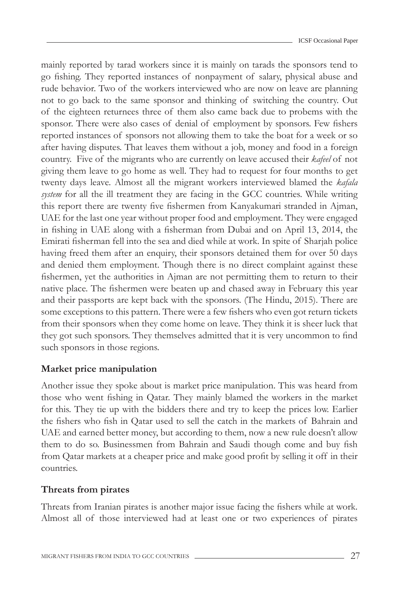mainly reported by tarad workers since it is mainly on tarads the sponsors tend to go fishing. They reported instances of nonpayment of salary, physical abuse and rude behavior. Two of the workers interviewed who are now on leave are planning not to go back to the same sponsor and thinking of switching the country. Out of the eighteen returnees three of them also came back due to probems with the sponsor. There were also cases of denial of employment by sponsors. Few fishers reported instances of sponsors not allowing them to take the boat for a week or so after having disputes. That leaves them without a job, money and food in a foreign country. Five of the migrants who are currently on leave accused their *kafeel* of not giving them leave to go home as well. They had to request for four months to get twenty days leave. Almost all the migrant workers interviewed blamed the *kafala system* for all the ill treatment they are facing in the GCC countries. While writing this report there are twenty five fishermen from Kanyakumari stranded in Ajman, UAE for the last one year without proper food and employment. They were engaged in fishing in UAE along with a fisherman from Dubai and on April 13, 2014, the Emirati fisherman fell into the sea and died while at work. In spite of Sharjah police having freed them after an enquiry, their sponsors detained them for over 50 days and denied them employment. Though there is no direct complaint against these fishermen, yet the authorities in Ajman are not permitting them to return to their native place. The fishermen were beaten up and chased away in February this year and their passports are kept back with the sponsors. (The Hindu, 2015). There are some exceptions to this pattern. There were a few fishers who even got return tickets from their sponsors when they come home on leave. They think it is sheer luck that they got such sponsors. They themselves admitted that it is very uncommon to find such sponsors in those regions.

### **Market price manipulation**

Another issue they spoke about is market price manipulation. This was heard from those who went fishing in Qatar. They mainly blamed the workers in the market for this. They tie up with the bidders there and try to keep the prices low. Earlier the fishers who fish in Qatar used to sell the catch in the markets of Bahrain and UAE and earned better money, but according to them, now a new rule doesn't allow them to do so. Businessmen from Bahrain and Saudi though come and buy fish from Qatar markets at a cheaper price and make good profi t by selling it off in their countries.

### **Threats from pirates**

Threats from Iranian pirates is another major issue facing the fishers while at work. Almost all of those interviewed had at least one or two experiences of pirates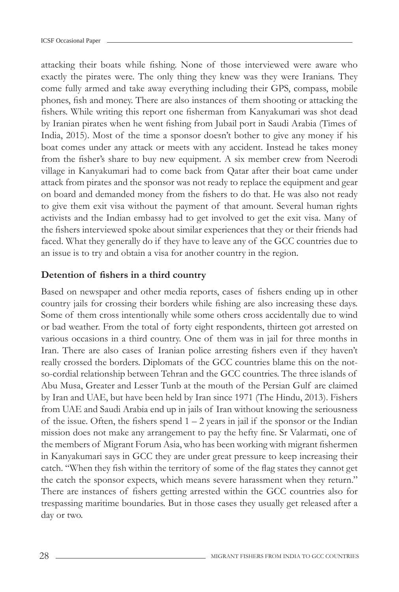attacking their boats while fishing. None of those interviewed were aware who exactly the pirates were. The only thing they knew was they were Iranians. They come fully armed and take away everything including their GPS, compass, mobile phones, fish and money. There are also instances of them shooting or attacking the fishers. While writing this report one fisherman from Kanyakumari was shot dead by Iranian pirates when he went fishing from Jubail port in Saudi Arabia (Times of India, 2015). Most of the time a sponsor doesn't bother to give any money if his boat comes under any attack or meets with any accident. Instead he takes money from the fisher's share to buy new equipment. A six member crew from Neerodi village in Kanyakumari had to come back from Qatar after their boat came under attack from pirates and the sponsor was not ready to replace the equipment and gear on board and demanded money from the fishers to do that. He was also not ready to give them exit visa without the payment of that amount. Several human rights activists and the Indian embassy had to get involved to get the exit visa. Many of the fishers interviewed spoke about similar experiences that they or their friends had faced. What they generally do if they have to leave any of the GCC countries due to an issue is to try and obtain a visa for another country in the region.

#### **Detention of fishers in a third country**

Based on newspaper and other media reports, cases of fishers ending up in other country jails for crossing their borders while fishing are also increasing these days. Some of them cross intentionally while some others cross accidentally due to wind or bad weather. From the total of forty eight respondents, thirteen got arrested on various occasions in a third country. One of them was in jail for three months in Iran. There are also cases of Iranian police arresting fishers even if they haven't really crossed the borders. Diplomats of the GCC countries blame this on the notso-cordial relationship between Tehran and the GCC countries. The three islands of Abu Musa, Greater and Lesser Tunb at the mouth of the Persian Gulf are claimed by Iran and UAE, but have been held by Iran since 1971 (The Hindu, 2013). Fishers from UAE and Saudi Arabia end up in jails of Iran without knowing the seriousness of the issue. Often, the fishers spend  $1 - 2$  years in jail if the sponsor or the Indian mission does not make any arrangement to pay the hefty fine. Sr Valarmati, one of the members of Migrant Forum Asia, who has been working with migrant fishermen in Kanyakumari says in GCC they are under great pressure to keep increasing their catch. "When they fish within the territory of some of the flag states they cannot get the catch the sponsor expects, which means severe harassment when they return." There are instances of fishers getting arrested within the GCC countries also for trespassing maritime boundaries. But in those cases they usually get released after a day or two.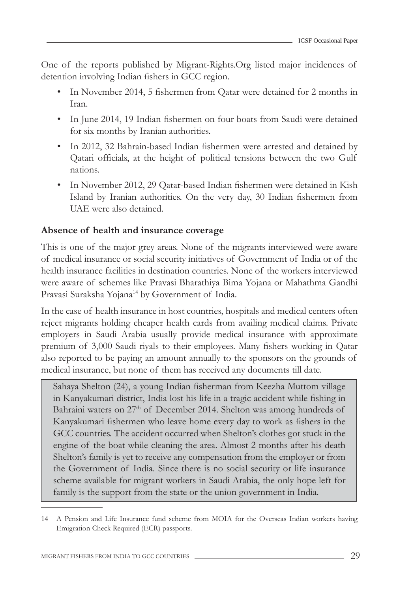One of the reports published by Migrant-Rights.Org listed major incidences of detention involving Indian fishers in GCC region.

- In November 2014, 5 fishermen from Qatar were detained for 2 months in Iran.
- In June 2014, 19 Indian fishermen on four boats from Saudi were detained for six months by Iranian authorities.
- In 2012, 32 Bahrain-based Indian fishermen were arrested and detained by Qatari officials, at the height of political tensions between the two Gulf nations.
- In November 2012, 29 Qatar-based Indian fishermen were detained in Kish Island by Iranian authorities. On the very day, 30 Indian fishermen from UAE were also detained.

#### **Absence of health and insurance coverage**

This is one of the major grey areas. None of the migrants interviewed were aware of medical insurance or social security initiatives of Government of India or of the health insurance facilities in destination countries. None of the workers interviewed were aware of schemes like Pravasi Bharathiya Bima Yojana or Mahathma Gandhi Pravasi Suraksha Yojana<sup>14</sup> by Government of India.

In the case of health insurance in host countries, hospitals and medical centers often reject migrants holding cheaper health cards from availing medical claims. Private employers in Saudi Arabia usually provide medical insurance with approximate premium of 3,000 Saudi riyals to their employees. Many fishers working in Qatar also reported to be paying an amount annually to the sponsors on the grounds of medical insurance, but none of them has received any documents till date.

Sahaya Shelton (24), a young Indian fisherman from Keezha Muttom village in Kanyakumari district, India lost his life in a tragic accident while fishing in Bahraini waters on 27<sup>th</sup> of December 2014. Shelton was among hundreds of Kanyakumari fishermen who leave home every day to work as fishers in the GCC countries. The accident occurred when Shelton's clothes got stuck in the engine of the boat while cleaning the area. Almost 2 months after his death Shelton's family is yet to receive any compensation from the employer or from the Government of India. Since there is no social security or life insurance scheme available for migrant workers in Saudi Arabia, the only hope left for family is the support from the state or the union government in India.

<sup>14</sup> A Pension and Life Insurance fund scheme from MOIA for the Overseas Indian workers having Emigration Check Required (ECR) passports.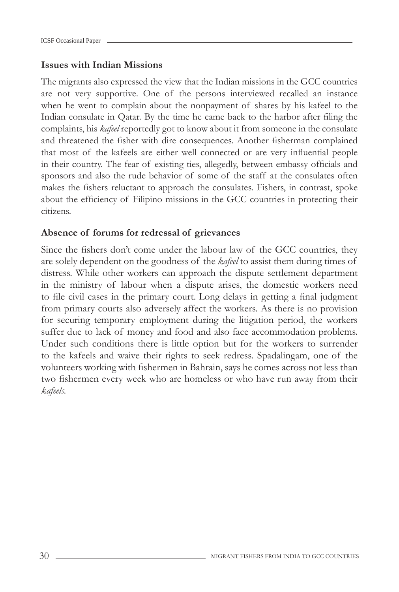#### **Issues with Indian Missions**

The migrants also expressed the view that the Indian missions in the GCC countries are not very supportive. One of the persons interviewed recalled an instance when he went to complain about the nonpayment of shares by his kafeel to the Indian consulate in Qatar. By the time he came back to the harbor after filing the complaints, his *kafeel* reportedly got to know about it from someone in the consulate and threatened the fisher with dire consequences. Another fisherman complained that most of the kafeels are either well connected or are very influential people in their country. The fear of existing ties, allegedly, between embassy officials and sponsors and also the rude behavior of some of the staff at the consulates often makes the fishers reluctant to approach the consulates. Fishers, in contrast, spoke about the efficiency of Filipino missions in the GCC countries in protecting their citizens.

#### **Absence of forums for redressal of grievances**

Since the fishers don't come under the labour law of the GCC countries, they are solely dependent on the goodness of the *kafeel* to assist them during times of distress. While other workers can approach the dispute settlement department in the ministry of labour when a dispute arises, the domestic workers need to file civil cases in the primary court. Long delays in getting a final judgment from primary courts also adversely affect the workers. As there is no provision for securing temporary employment during the litigation period, the workers suffer due to lack of money and food and also face accommodation problems. Under such conditions there is little option but for the workers to surrender to the kafeels and waive their rights to seek redress. Spadalingam, one of the volunteers working with fishermen in Bahrain, says he comes across not less than two fishermen every week who are homeless or who have run away from their *kafeels.*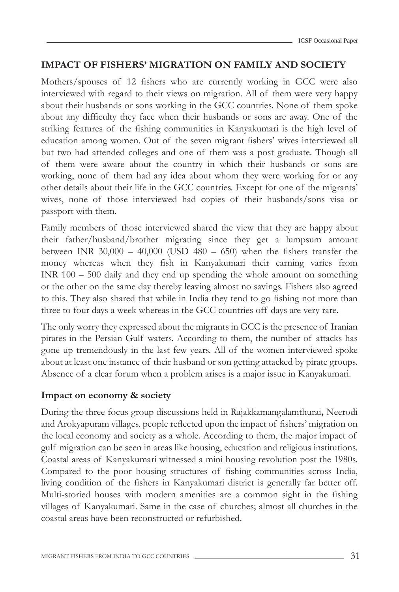#### **IMPACT OF FISHERS' MIGRATION ON FAMILY AND SOCIETY**

Mothers/spouses of 12 fishers who are currently working in GCC were also interviewed with regard to their views on migration. All of them were very happy about their husbands or sons working in the GCC countries. None of them spoke about any difficulty they face when their husbands or sons are away. One of the striking features of the fishing communities in Kanyakumari is the high level of education among women. Out of the seven migrant fishers' wives interviewed all but two had attended colleges and one of them was a post graduate. Though all of them were aware about the country in which their husbands or sons are working, none of them had any idea about whom they were working for or any other details about their life in the GCC countries. Except for one of the migrants' wives, none of those interviewed had copies of their husbands/sons visa or passport with them.

Family members of those interviewed shared the view that they are happy about their father/husband/brother migrating since they get a lumpsum amount between INR 30,000 – 40,000 (USD 480 – 650) when the fishers transfer the money whereas when they fish in Kanyakumari their earning varies from INR 100 – 500 daily and they end up spending the whole amount on something or the other on the same day thereby leaving almost no savings. Fishers also agreed to this. They also shared that while in India they tend to go fishing not more than three to four days a week whereas in the GCC countries off days are very rare.

The only worry they expressed about the migrants in GCC is the presence of Iranian pirates in the Persian Gulf waters. According to them, the number of attacks has gone up tremendously in the last few years. All of the women interviewed spoke about at least one instance of their husband or son getting attacked by pirate groups. Absence of a clear forum when a problem arises is a major issue in Kanyakumari.

#### **Impact on economy & society**

During the three focus group discussions held in Rajakkamangalamthurai**,** Neerodi and Arokyapuram villages, people reflected upon the impact of fishers' migration on the local economy and society as a whole. According to them, the major impact of gulf migration can be seen in areas like housing, education and religious institutions. Coastal areas of Kanyakumari witnessed a mini housing revolution post the 1980s. Compared to the poor housing structures of fishing communities across India, living condition of the fishers in Kanyakumari district is generally far better off. Multi-storied houses with modern amenities are a common sight in the fishing villages of Kanyakumari. Same in the case of churches; almost all churches in the coastal areas have been reconstructed or refurbished.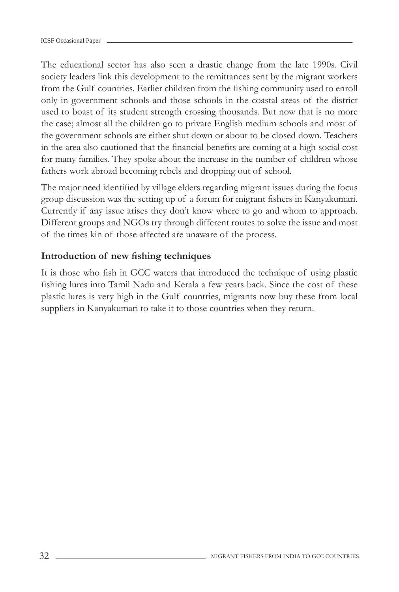The educational sector has also seen a drastic change from the late 1990s. Civil society leaders link this development to the remittances sent by the migrant workers from the Gulf countries. Earlier children from the fishing community used to enroll only in government schools and those schools in the coastal areas of the district used to boast of its student strength crossing thousands. But now that is no more the case; almost all the children go to private English medium schools and most of the government schools are either shut down or about to be closed down. Teachers in the area also cautioned that the financial benefits are coming at a high social cost for many families. They spoke about the increase in the number of children whose fathers work abroad becoming rebels and dropping out of school.

The major need identified by village elders regarding migrant issues during the focus group discussion was the setting up of a forum for migrant fishers in Kanyakumari. Currently if any issue arises they don't know where to go and whom to approach. Different groups and NGOs try through different routes to solve the issue and most of the times kin of those affected are unaware of the process.

#### Introduction of new fishing techniques

It is those who fish in GCC waters that introduced the technique of using plastic fishing lures into Tamil Nadu and Kerala a few years back. Since the cost of these plastic lures is very high in the Gulf countries, migrants now buy these from local suppliers in Kanyakumari to take it to those countries when they return.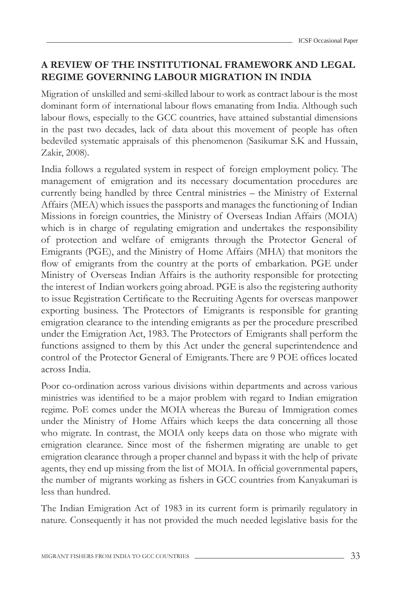# **A REVIEW OF THE INSTITUTIONAL FRAMEWORK AND LEGAL REGIME GOVERNING LABOUR MIGRATION IN INDIA**

Migration of unskilled and semi-skilled labour to work as contract labour is the most dominant form of international labour flows emanating from India. Although such labour flows, especially to the GCC countries, have attained substantial dimensions in the past two decades, lack of data about this movement of people has often bedeviled systematic appraisals of this phenomenon (Sasikumar S.K and Hussain, Zakir, 2008).

India follows a regulated system in respect of foreign employment policy. The management of emigration and its necessary documentation procedures are currently being handled by three Central ministries – the Ministry of External Affairs (MEA) which issues the passports and manages the functioning of Indian Missions in foreign countries, the Ministry of Overseas Indian Affairs (MOIA) which is in charge of regulating emigration and undertakes the responsibility of protection and welfare of emigrants through the Protector General of Emigrants (PGE), and the Ministry of Home Affairs (MHA) that monitors the flow of emigrants from the country at the ports of embarkation. PGE under Ministry of Overseas Indian Affairs is the authority responsible for protecting the interest of Indian workers going abroad. PGE is also the registering authority to issue Registration Certificate to the Recruiting Agents for overseas manpower exporting business. The Protectors of Emigrants is responsible for granting emigration clearance to the intending emigrants as per the procedure prescribed under the Emigration Act, 1983. The Protectors of Emigrants shall perform the functions assigned to them by this Act under the general superintendence and control of the Protector General of Emigrants. There are 9 POE offices located across India.

Poor co-ordination across various divisions within departments and across various ministries was identified to be a major problem with regard to Indian emigration regime. PoE comes under the MOIA whereas the Bureau of Immigration comes under the Ministry of Home Affairs which keeps the data concerning all those who migrate. In contrast, the MOIA only keeps data on those who migrate with emigration clearance. Since most of the fishermen migrating are unable to get emigration clearance through a proper channel and bypass it with the help of private agents, they end up missing from the list of MOIA. In official governmental papers, the number of migrants working as fishers in GCC countries from Kanyakumari is less than hundred.

The Indian Emigration Act of 1983 in its current form is primarily regulatory in nature. Consequently it has not provided the much needed legislative basis for the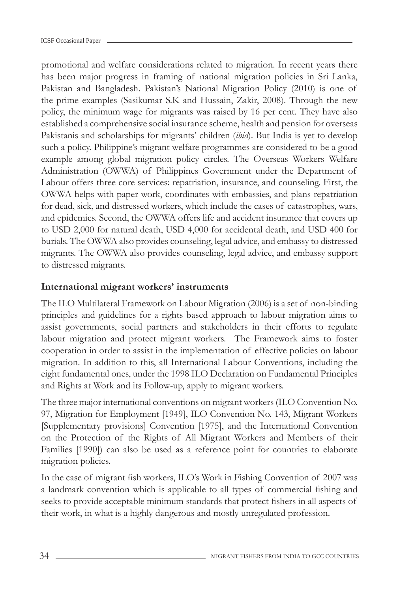promotional and welfare considerations related to migration. In recent years there has been major progress in framing of national migration policies in Sri Lanka, Pakistan and Bangladesh. Pakistan's National Migration Policy (2010) is one of the prime examples (Sasikumar S.K and Hussain, Zakir, 2008). Through the new policy, the minimum wage for migrants was raised by 16 per cent. They have also established a comprehensive social insurance scheme, health and pension for overseas Pakistanis and scholarships for migrants' children (*ibid*). But India is yet to develop such a policy. Philippine's migrant welfare programmes are considered to be a good example among global migration policy circles. The Overseas Workers Welfare Administration (OWWA) of Philippines Government under the Department of Labour offers three core services: repatriation, insurance, and counseling. First, the OWWA helps with paper work, coordinates with embassies, and plans repatriation for dead, sick, and distressed workers, which include the cases of catastrophes, wars, and epidemics. Second, the OWWA offers life and accident insurance that covers up to USD 2,000 for natural death, USD 4,000 for accidental death, and USD 400 for burials. The OWWA also provides counseling, legal advice, and embassy to distressed migrants. The OWWA also provides counseling, legal advice, and embassy support to distressed migrants.

#### **International migrant workers' instruments**

The ILO Multilateral Framework on Labour Migration (2006) is a set of non-binding principles and guidelines for a rights based approach to labour migration aims to assist governments, social partners and stakeholders in their efforts to regulate labour migration and protect migrant workers. The Framework aims to foster cooperation in order to assist in the implementation of effective policies on labour migration. In addition to this, all International Labour Conventions, including the eight fundamental ones, under the 1998 ILO Declaration on Fundamental Principles and Rights at Work and its Follow-up, apply to migrant workers.

The three major international conventions on migrant workers (ILO Convention No. 97, Migration for Employment [1949], ILO Convention No. 143, Migrant Workers [Supplementary provisions] Convention [1975], and the International Convention on the Protection of the Rights of All Migrant Workers and Members of their Families [1990]) can also be used as a reference point for countries to elaborate migration policies.

In the case of migrant fish workers, ILO's Work in Fishing Convention of 2007 was a landmark convention which is applicable to all types of commercial fishing and seeks to provide acceptable minimum standards that protect fishers in all aspects of their work, in what is a highly dangerous and mostly unregulated profession.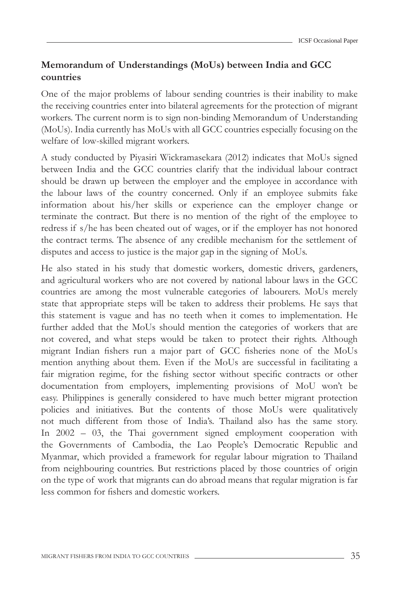# **Memorandum of Understandings (MoUs) between India and GCC countries**

One of the major problems of labour sending countries is their inability to make the receiving countries enter into bilateral agreements for the protection of migrant workers. The current norm is to sign non-binding Memorandum of Understanding (MoUs). India currently has MoUs with all GCC countries especially focusing on the welfare of low-skilled migrant workers.

A study conducted by Piyasiri Wickramasekara (2012) indicates that MoUs signed between India and the GCC countries clarify that the individual labour contract should be drawn up between the employer and the employee in accordance with the labour laws of the country concerned. Only if an employee submits fake information about his/her skills or experience can the employer change or terminate the contract. But there is no mention of the right of the employee to redress if s/he has been cheated out of wages, or if the employer has not honored the contract terms. The absence of any credible mechanism for the settlement of disputes and access to justice is the major gap in the signing of MoUs.

He also stated in his study that domestic workers, domestic drivers, gardeners, and agricultural workers who are not covered by national labour laws in the GCC countries are among the most vulnerable categories of labourers. MoUs merely state that appropriate steps will be taken to address their problems. He says that this statement is vague and has no teeth when it comes to implementation. He further added that the MoUs should mention the categories of workers that are not covered, and what steps would be taken to protect their rights. Although migrant Indian fishers run a major part of GCC fisheries none of the MoUs mention anything about them. Even if the MoUs are successful in facilitating a fair migration regime, for the fishing sector without specific contracts or other documentation from employers, implementing provisions of MoU won't be easy. Philippines is generally considered to have much better migrant protection policies and initiatives. But the contents of those MoUs were qualitatively not much different from those of India's. Thailand also has the same story. In 2002 – 03, the Thai government signed employment cooperation with the Governments of Cambodia, the Lao People's Democratic Republic and Myanmar, which provided a framework for regular labour migration to Thailand from neighbouring countries. But restrictions placed by those countries of origin on the type of work that migrants can do abroad means that regular migration is far less common for fishers and domestic workers.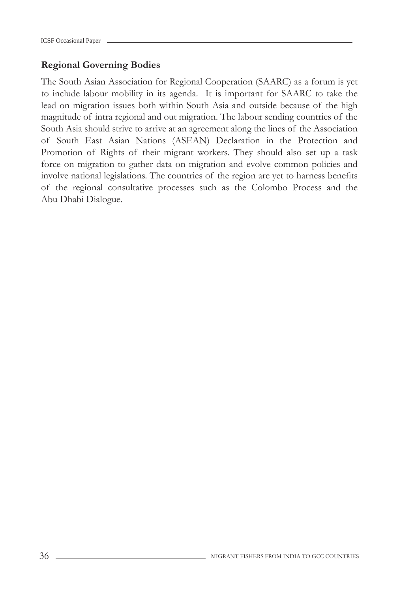# **Regional Governing Bodies**

The South Asian Association for Regional Cooperation (SAARC) as a forum is yet to include labour mobility in its agenda. It is important for SAARC to take the lead on migration issues both within South Asia and outside because of the high magnitude of intra regional and out migration. The labour sending countries of the South Asia should strive to arrive at an agreement along the lines of the Association of South East Asian Nations (ASEAN) Declaration in the Protection and Promotion of Rights of their migrant workers. They should also set up a task force on migration to gather data on migration and evolve common policies and involve national legislations. The countries of the region are yet to harness benefits of the regional consultative processes such as the Colombo Process and the Abu Dhabi Dialogue.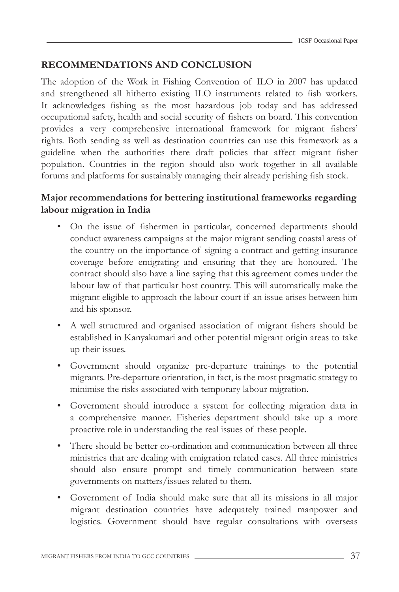# **RECOMMENDATIONS AND CONCLUSION**

The adoption of the Work in Fishing Convention of ILO in 2007 has updated and strengthened all hitherto existing ILO instruments related to fish workers. It acknowledges fishing as the most hazardous job today and has addressed occupational safety, health and social security of fishers on board. This convention provides a very comprehensive international framework for migrant fishers' rights. Both sending as well as destination countries can use this framework as a guideline when the authorities there draft policies that affect migrant fisher population. Countries in the region should also work together in all available forums and platforms for sustainably managing their already perishing fish stock.

# **Major recommendations for bettering institutional frameworks regarding labour migration in India**

- On the issue of fishermen in particular, concerned departments should conduct awareness campaigns at the major migrant sending coastal areas of the country on the importance of signing a contract and getting insurance coverage before emigrating and ensuring that they are honoured. The contract should also have a line saying that this agreement comes under the labour law of that particular host country. This will automatically make the migrant eligible to approach the labour court if an issue arises between him and his sponsor.
- A well structured and organised association of migrant fishers should be established in Kanyakumari and other potential migrant origin areas to take up their issues.
- Government should organize pre-departure trainings to the potential migrants. Pre-departure orientation, in fact, is the most pragmatic strategy to minimise the risks associated with temporary labour migration.
- Government should introduce a system for collecting migration data in a comprehensive manner. Fisheries department should take up a more proactive role in understanding the real issues of these people.
- There should be better co-ordination and communication between all three ministries that are dealing with emigration related cases. All three ministries should also ensure prompt and timely communication between state governments on matters/issues related to them.
- Government of India should make sure that all its missions in all major migrant destination countries have adequately trained manpower and logistics. Government should have regular consultations with overseas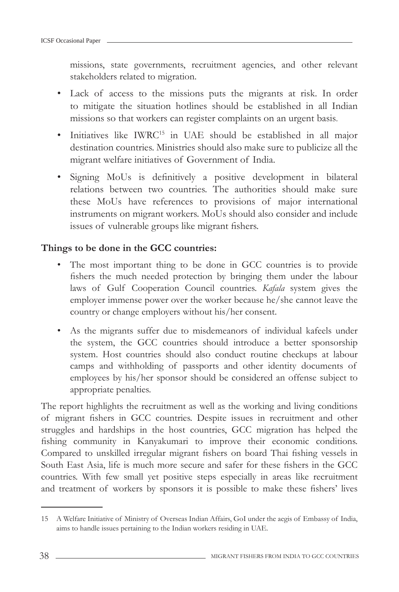missions, state governments, recruitment agencies, and other relevant stakeholders related to migration.

- Lack of access to the missions puts the migrants at risk. In order to mitigate the situation hotlines should be established in all Indian missions so that workers can register complaints on an urgent basis.
- Initiatives like IWRC15 in UAE should be established in all major destination countries. Ministries should also make sure to publicize all the migrant welfare initiatives of Government of India.
- Signing MoUs is definitively a positive development in bilateral relations between two countries. The authorities should make sure these MoUs have references to provisions of major international instruments on migrant workers. MoUs should also consider and include issues of vulnerable groups like migrant fishers.

# **Things to be done in the GCC countries:**

- The most important thing to be done in GCC countries is to provide fishers the much needed protection by bringing them under the labour laws of Gulf Cooperation Council countries. *Kafala* system gives the employer immense power over the worker because he/she cannot leave the country or change employers without his/her consent.
- As the migrants suffer due to misdemeanors of individual kafeels under the system, the GCC countries should introduce a better sponsorship system. Host countries should also conduct routine checkups at labour camps and withholding of passports and other identity documents of employees by his/her sponsor should be considered an offense subject to appropriate penalties.

The report highlights the recruitment as well as the working and living conditions of migrant fishers in GCC countries. Despite issues in recruitment and other struggles and hardships in the host countries, GCC migration has helped the fishing community in Kanyakumari to improve their economic conditions. Compared to unskilled irregular migrant fishers on board Thai fishing vessels in South East Asia, life is much more secure and safer for these fishers in the GCC countries. With few small yet positive steps especially in areas like recruitment and treatment of workers by sponsors it is possible to make these fishers' lives

<sup>15</sup> A Welfare Initiative of Ministry of Overseas Indian Affairs, GoI under the aegis of Embassy of India, aims to handle issues pertaining to the Indian workers residing in UAE.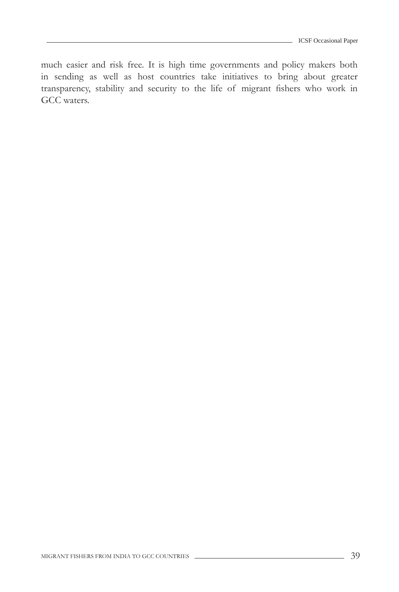much easier and risk free. It is high time governments and policy makers both in sending as well as host countries take initiatives to bring about greater transparency, stability and security to the life of migrant fishers who work in GCC waters.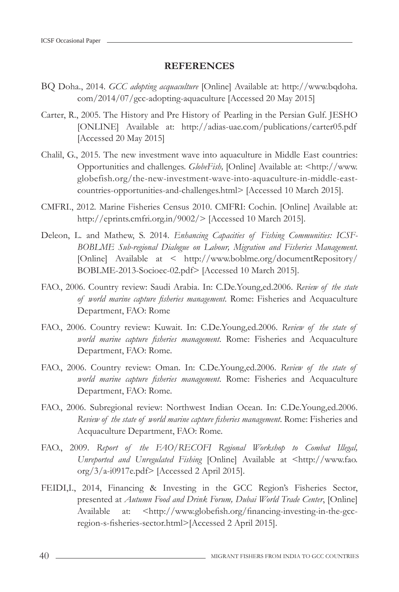#### **REFERENCES**

- BQ Doha., 2014. *GCC adopting acquaculture* [Online] Available at: http://www.bqdoha. com/2014/07/gcc-adopting-aquaculture [Accessed 20 May 2015]
- Carter, R., 2005. The History and Pre History of Pearling in the Persian Gulf. JESHO [ONLINE] Available at: http://adias-uae.com/publications/carter05.pdf [Accessed 20 May 2015]
- Chalil, G., 2015. The new investment wave into aquaculture in Middle East countries: Opportunities and challenges. *GlobeFish,* [Online] Available at: <http://www. globefish.org/the-new-investment-wave-into-aquaculture-in-middle-eastcountries-opportunities-and-challenges.html> [Accessed 10 March 2015].
- CMFRI., 2012. Marine Fisheries Census 2010. CMFRI: Cochin. [Online] Available at: http://eprints.cmfri.org.in/9002/> [Accessed 10 March 2015].
- Deleon, L. and Mathew, S. 2014. *Enhancing Capacities of Fishing Communities: ICSF-BOBLME Sub-regional Dialogue on Labour, Migration and Fisheries Management*. [Online] Available at < http://www.boblme.org/documentRepository/ BOBLME-2013-Socioec-02.pdf> [Accessed 10 March 2015].
- FAO., 2006. Country review: Saudi Arabia. In: C.De.Young,ed.2006. *Review of the state of world marine capture fi sheries management*. Rome: Fisheries and Acquaculture Department, FAO: Rome
- FAO., 2006. Country review: Kuwait. In: C.De.Young,ed.2006. *Review of the state of*  world marine capture fisheries management. Rome: Fisheries and Acquaculture Department, FAO: Rome.
- FAO., 2006. Country review: Oman. In: C.De.Young,ed.2006. *Review of the state of world marine capture fi sheries management*. Rome: Fisheries and Acquaculture Department, FAO: Rome.
- FAO., 2006. Subregional review: Northwest Indian Ocean. In: C.De.Young,ed.2006. *Review of the state of world marine capture fi sheries management*. Rome: Fisheries and Acquaculture Department, FAO: Rome.
- FAO., 2009. *Report of the FAO/RECOFI Regional Workshop to Combat Illegal, Unreported and Unregulated Fishing* [Online] Available at <http://www.fao. org/3/a-i0917e.pdf> [Accessed 2 April 2015].
- FEIDI,I., 2014, Financing & Investing in the GCC Region's Fisheries Sector, presented at *Autumn Food and Drink Forum, Dubai World Trade Center*, [Online] Available at: <http://www.globefish.org/financing-investing-in-the-gccregion-s-fisheries-sector.html>[Accessed 2 April 2015].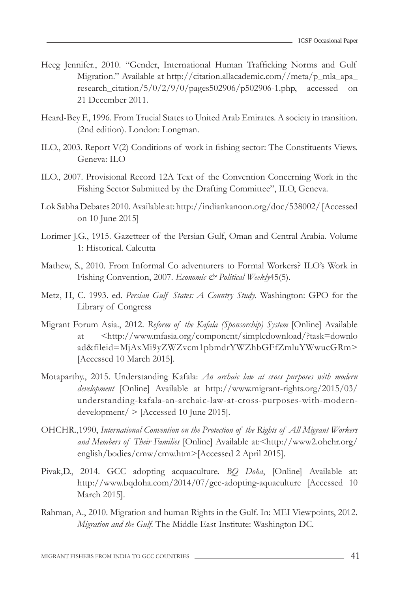- Heeg Jennifer., 2010. "Gender, International Human Trafficking Norms and Gulf Migration." Available at http://citation.allacademic.com//meta/p\_mla\_apa\_ research\_citation/ $\frac{5}{0}/\frac{2}{9}$ /0/pages502906/p502906-1.php, accessed on 21 December 2011.
- Heard-Bey F., 1996. From Trucial States to United Arab Emirates. A society in transition. (2nd edition). London: Longman.
- ILO., 2003. Report V(2) Conditions of work in fishing sector: The Constituents Views. Geneva: ILO
- ILO., 2007. Provisional Record 12A Text of the Convention Concerning Work in the Fishing Sector Submitted by the Drafting Committee", ILO, Geneva.
- Lok Sabha Debates 2010. Available at: http://indiankanoon.org/doc/538002/ [Accessed on 10 June 2015]
- Lorimer J.G., 1915. Gazetteer of the Persian Gulf, Oman and Central Arabia. Volume 1: Historical. Calcutta
- Mathew, S., 2010. From Informal Co adventurers to Formal Workers? ILO's Work in Fishing Convention, 2007. *Economic & Political Weekly*45(5).
- Metz, H, C. 1993. ed. *Persian Gulf States: A Country Study*. Washington: GPO for the Library of Congress
- Migrant Forum Asia., 2012. *Reform of the Kafala (Sponsorship) System* [Online] Available at <http://www.mfasia.org/component/simpledownload/?task=downlo ad&fileid=MjAxMi9yZWZvcm1pbmdrYWZhbGFfZmluYWwucGRm> [Accessed 10 March 2015].
- Motaparthy., 2015. Understanding Kafala: *An archaic law at cross purposes with modern development* [Online] Available at http://www.migrant-rights.org/2015/03/ understanding-kafala-an-archaic-law-at-cross-purposes-with-moderndevelopment/ > [Accessed 10 June 2015].
- OHCHR.,1990, *International Convention on the Protection of the Rights of All Migrant Workers and Members of Their Families* [Online] Available at:<http://www2.ohchr.org/ english/bodies/cmw/cmw.htm>[Accessed 2 April 2015].
- Pivak,D., 2014. GCC adopting acquaculture. *BQ Doha*, [Online] Available at: http://www.bqdoha.com/2014/07/gcc-adopting-aquaculture [Accessed 10 March 2015].
- Rahman, A., 2010. Migration and human Rights in the Gulf. In: MEI Viewpoints, 2012. *Migration and the Gulf*. The Middle East Institute: Washington DC.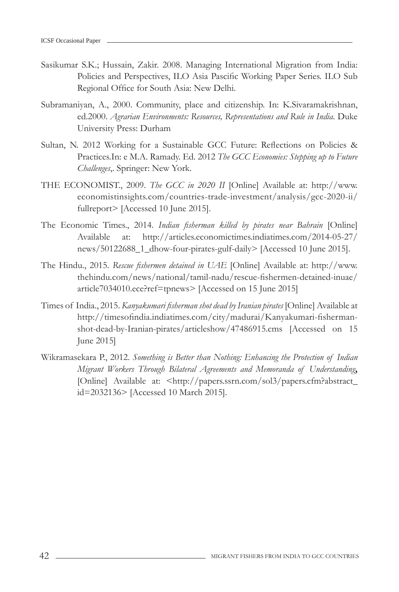- Sasikumar S.K.; Hussain, Zakir. 2008. Managing International Migration from India: Policies and Perspectives, ILO Asia Pascific Working Paper Series. ILO Sub Regional Office for South Asia: New Delhi.
- Subramaniyan, A., 2000. Community, place and citizenship. In: K.Sivaramakrishnan, ed.2000. *Agrarian Environments: Resources, Representations and Rule in India*. Duke University Press: Durham
- Sultan, N. 2012 Working for a Sustainable GCC Future: Reflections on Policies & Practices.In: e M.A. Ramady. Ed. 2012 *The GCC Economies: Stepping up to Future Challenges*,. Springer: New York.
- THE ECONOMIST., 2009. *The GCC in 2020 II* [Online] Available at: http://www. economistinsights.com/countries-trade-investment/analysis/gcc-2020-ii/ fullreport> [Accessed 10 June 2015].
- The Economic Times., 2014. *Indian fisherman killed by pirates near Bahrain* [Online] Available at: http://articles.economictimes.indiatimes.com/2014-05-27/ news/50122688\_1\_dhow-four-pirates-gulf-daily> [Accessed 10 June 2015].
- The Hindu., 2015. Rescue fishermen detained in UAE [Online] Available at: http://www. thehindu.com/news/national/tamil-nadu/rescue-fi shermen-detained-inuae/ article7034010.ece?ref=tpnews> [Accessed on 15 June 2015]
- Times of India., 2015. *Kanyakumari fi sherman shot dead by Iranian pirates* [Online] Available at http://timesofindia.indiatimes.com/city/madurai/Kanyakumari-fishermanshot-dead-by-Iranian-pirates/articleshow/47486915.cms [Accessed on 15 June 2015]
- Wikramasekara P., 2012. *Something is Better than Nothing: Enhancing the Protection of Indian Migrant Workers Through Bilateral Agreements and Memoranda of Understanding***,**  [Online] Available at: <http://papers.ssrn.com/sol3/papers.cfm?abstract\_ id=2032136> [Accessed 10 March 2015].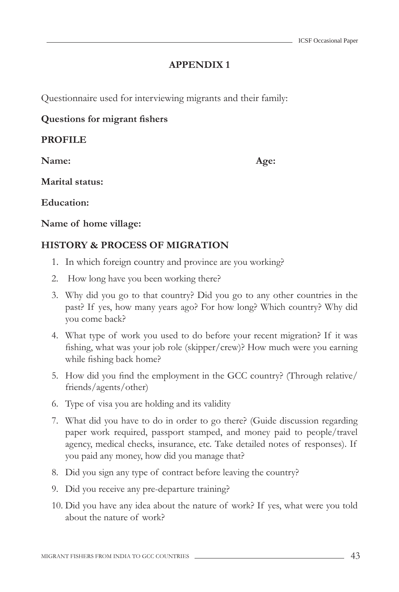# **APPENDIX 1**

Questionnaire used for interviewing migrants and their family:

**Questions for migrant fishers** 

**PROFILE** 

Name: Age:

**Marital status:**

**Education:**

**Name of home village:**

# **HISTORY & PROCESS OF MIGRATION**

- 1. In which foreign country and province are you working?
- 2. How long have you been working there?
- 3. Why did you go to that country? Did you go to any other countries in the past? If yes, how many years ago? For how long? Which country? Why did you come back?
- 4. What type of work you used to do before your recent migration? If it was fishing, what was your job role (skipper/crew)? How much were you earning while fishing back home?
- 5. How did you find the employment in the GCC country? (Through relative/ friends/agents/other)
- 6. Type of visa you are holding and its validity
- 7. What did you have to do in order to go there? (Guide discussion regarding paper work required, passport stamped, and money paid to people/travel agency, medical checks, insurance, etc. Take detailed notes of responses). If you paid any money, how did you manage that?
- 8. Did you sign any type of contract before leaving the country?
- 9. Did you receive any pre-departure training?
- 10. Did you have any idea about the nature of work? If yes, what were you told about the nature of work?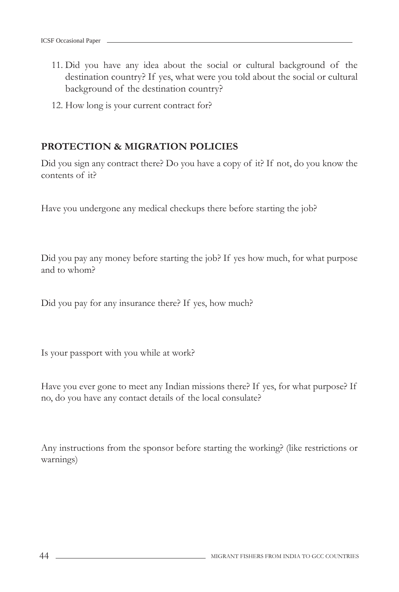- 11. Did you have any idea about the social or cultural background of the destination country? If yes, what were you told about the social or cultural background of the destination country?
- 12. How long is your current contract for?

# **PROTECTION & MIGRATION POLICIES**

Did you sign any contract there? Do you have a copy of it? If not, do you know the contents of it?

Have you undergone any medical checkups there before starting the job?

Did you pay any money before starting the job? If yes how much, for what purpose and to whom?

Did you pay for any insurance there? If yes, how much?

Is your passport with you while at work?

Have you ever gone to meet any Indian missions there? If yes, for what purpose? If no, do you have any contact details of the local consulate?

Any instructions from the sponsor before starting the working? (like restrictions or warnings)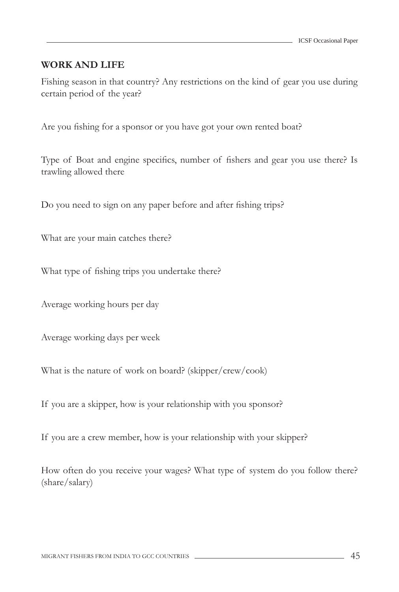# **WORK AND LIFE**

Fishing season in that country? Any restrictions on the kind of gear you use during certain period of the year?

Are you fishing for a sponsor or you have got your own rented boat?

Type of Boat and engine specifics, number of fishers and gear you use there? Is trawling allowed there

Do you need to sign on any paper before and after fishing trips?

What are your main catches there?

What type of fishing trips you undertake there?

Average working hours per day

Average working days per week

What is the nature of work on board? (skipper/crew/cook)

If you are a skipper, how is your relationship with you sponsor?

If you are a crew member, how is your relationship with your skipper?

How often do you receive your wages? What type of system do you follow there? (share/salary)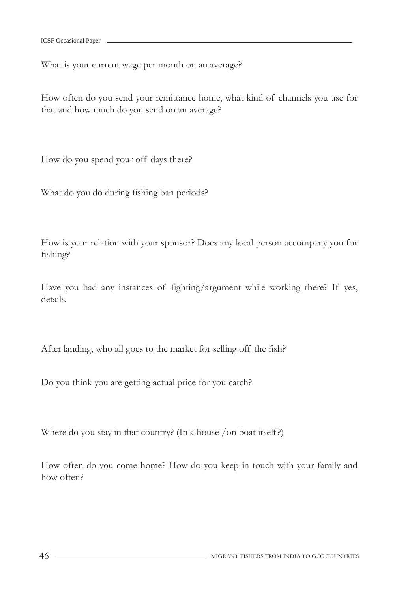What is your current wage per month on an average?

How often do you send your remittance home, what kind of channels you use for that and how much do you send on an average?

How do you spend your off days there?

What do you do during fishing ban periods?

How is your relation with your sponsor? Does any local person accompany you for fishing?

Have you had any instances of fighting/argument while working there? If yes, details.

After landing, who all goes to the market for selling off the fish?

Do you think you are getting actual price for you catch?

Where do you stay in that country? (In a house /on boat itself?)

How often do you come home? How do you keep in touch with your family and how often?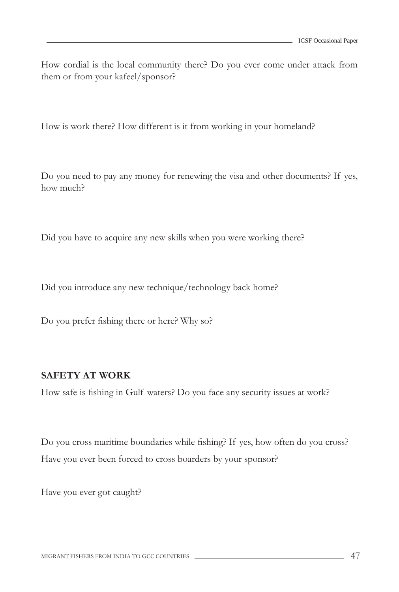How cordial is the local community there? Do you ever come under attack from them or from your kafeel/sponsor?

How is work there? How different is it from working in your homeland?

Do you need to pay any money for renewing the visa and other documents? If yes, how much?

Did you have to acquire any new skills when you were working there?

Did you introduce any new technique/technology back home?

Do you prefer fishing there or here? Why so?

#### **SAFETY AT WORK**

How safe is fishing in Gulf waters? Do you face any security issues at work?

Do you cross maritime boundaries while fishing? If yes, how often do you cross? Have you ever been forced to cross boarders by your sponsor?

Have you ever got caught?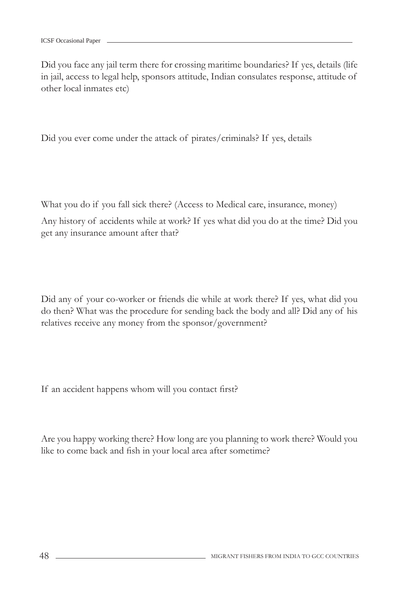Did you face any jail term there for crossing maritime boundaries? If yes, details (life in jail, access to legal help, sponsors attitude, Indian consulates response, attitude of other local inmates etc)

Did you ever come under the attack of pirates/criminals? If yes, details

What you do if you fall sick there? (Access to Medical care, insurance, money)

Any history of accidents while at work? If yes what did you do at the time? Did you get any insurance amount after that?

Did any of your co-worker or friends die while at work there? If yes, what did you do then? What was the procedure for sending back the body and all? Did any of his relatives receive any money from the sponsor/government?

If an accident happens whom will you contact first?

Are you happy working there? How long are you planning to work there? Would you like to come back and fish in your local area after sometime?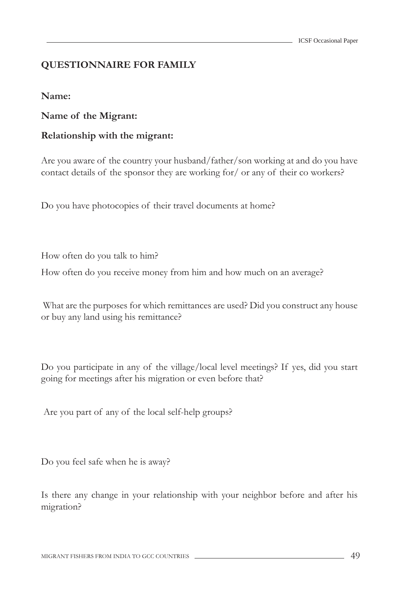# **QUESTIONNAIRE FOR FAMILY**

#### **Name:**

**Name of the Migrant:**

## **Relationship with the migrant:**

Are you aware of the country your husband/father/son working at and do you have contact details of the sponsor they are working for/ or any of their co workers?

Do you have photocopies of their travel documents at home?

How often do you talk to him?

How often do you receive money from him and how much on an average?

 What are the purposes for which remittances are used? Did you construct any house or buy any land using his remittance?

Do you participate in any of the village/local level meetings? If yes, did you start going for meetings after his migration or even before that?

Are you part of any of the local self-help groups?

Do you feel safe when he is away?

Is there any change in your relationship with your neighbor before and after his migration?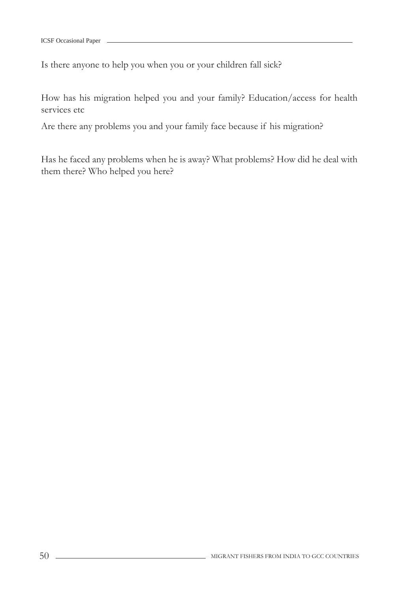Is there anyone to help you when you or your children fall sick?

How has his migration helped you and your family? Education/access for health services etc

Are there any problems you and your family face because if his migration?

Has he faced any problems when he is away? What problems? How did he deal with them there? Who helped you here?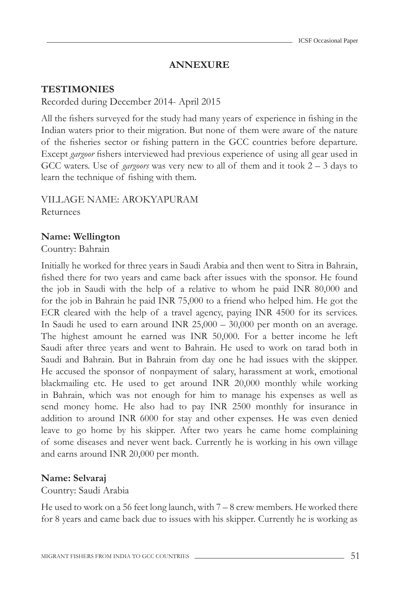# **ANNEXURE**

## **TESTIMONIES**

Recorded during December 2014- April 2015

All the fishers surveyed for the study had many years of experience in fishing in the Indian waters prior to their migration. But none of them were aware of the nature of the fisheries sector or fishing pattern in the GCC countries before departure. Except *gargoor* fishers interviewed had previous experience of using all gear used in GCC waters. Use of *gargoors* was very new to all of them and it took 2 – 3 days to learn the technique of fishing with them.

VILLAGE NAME: AROKYAPURAM Returnees

# **Name: Wellington**

Country: Bahrain

Initially he worked for three years in Saudi Arabia and then went to Sitra in Bahrain, fished there for two years and came back after issues with the sponsor. He found the job in Saudi with the help of a relative to whom he paid INR 80,000 and for the job in Bahrain he paid INR 75,000 to a friend who helped him. He got the ECR cleared with the help of a travel agency, paying INR 4500 for its services. In Saudi he used to earn around INR 25,000 – 30,000 per month on an average. The highest amount he earned was INR 50,000. For a better income he left Saudi after three years and went to Bahrain. He used to work on tarad both in Saudi and Bahrain. But in Bahrain from day one he had issues with the skipper. He accused the sponsor of nonpayment of salary, harassment at work, emotional blackmailing etc. He used to get around INR 20,000 monthly while working in Bahrain, which was not enough for him to manage his expenses as well as send money home. He also had to pay INR 2500 monthly for insurance in addition to around INR 6000 for stay and other expenses. He was even denied leave to go home by his skipper. After two years he came home complaining of some diseases and never went back. Currently he is working in his own village and earns around INR 20,000 per month.

# **Name: Selvaraj**

Country: Saudi Arabia

He used to work on a 56 feet long launch, with 7 – 8 crew members. He worked there for 8 years and came back due to issues with his skipper. Currently he is working as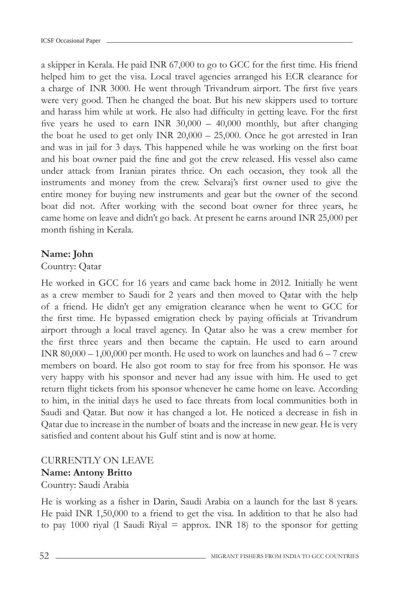a skipper in Kerala. He paid INR 67,000 to go to GCC for the first time. His friend helped him to get the visa. Local travel agencies arranged his ECR clearance for a charge of INR 3000. He went through Trivandrum airport. The first five years were very good. Then he changed the boat. But his new skippers used to torture and harass him while at work. He also had difficulty in getting leave. For the first five years he used to earn INR  $30,000 - 40,000$  monthly, but after changing the boat he used to get only INR 20,000 – 25,000. Once he got arrested in Iran and was in jail for 3 days. This happened while he was working on the first boat and his boat owner paid the fine and got the crew released. His vessel also came under attack from Iranian pirates thrice. On each occasion, they took all the instruments and money from the crew. Selvaraj's first owner used to give the entire money for buying new instruments and gear but the owner of the second boat did not. After working with the second boat owner for three years, he came home on leave and didn't go back. At present he earns around INR 25,000 per month fishing in Kerala.

#### **Name: John**

#### Country: Qatar

He worked in GCC for 16 years and came back home in 2012. Initially he went as a crew member to Saudi for 2 years and then moved to Qatar with the help of a friend. He didn't get any emigration clearance when he went to GCC for the first time. He bypassed emigration check by paying officials at Trivandrum airport through a local travel agency. In Qatar also he was a crew member for the first three years and then became the captain. He used to earn around INR  $80,000 - 1,00,000$  per month. He used to work on launches and had  $6 - 7$  crew members on board. He also got room to stay for free from his sponsor. He was very happy with his sponsor and never had any issue with him. He used to get return flight tickets from his sponsor whenever he came home on leave. According to him, in the initial days he used to face threats from local communities both in Saudi and Qatar. But now it has changed a lot. He noticed a decrease in fish in Qatar due to increase in the number of boats and the increase in new gear. He is very satisfied and content about his Gulf stint and is now at home.

# CURRENTLY ON LEAVE **Name: Antony Britto**

Country: Saudi Arabia

He is working as a fisher in Darin, Saudi Arabia on a launch for the last 8 years. He paid INR 1,50,000 to a friend to get the visa. In addition to that he also had to pay 1000 riyal (I Saudi Riyal = approx. INR 18) to the sponsor for getting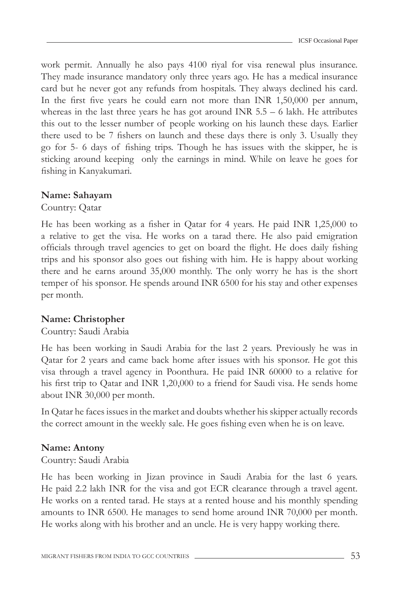work permit. Annually he also pays 4100 riyal for visa renewal plus insurance. They made insurance mandatory only three years ago. He has a medical insurance card but he never got any refunds from hospitals. They always declined his card. In the first five years he could earn not more than INR  $1,50,000$  per annum, whereas in the last three years he has got around INR 5.5 – 6 lakh. He attributes this out to the lesser number of people working on his launch these days. Earlier there used to be 7 fishers on launch and these days there is only 3. Usually they go for 5- 6 days of fi shing trips. Though he has issues with the skipper, he is sticking around keeping only the earnings in mind. While on leave he goes for fi shing in Kanyakumari.

#### **Name: Sahayam**

Country: Qatar

He has been working as a fisher in Qatar for 4 years. He paid INR 1,25,000 to a relative to get the visa. He works on a tarad there. He also paid emigration officials through travel agencies to get on board the flight. He does daily fishing trips and his sponsor also goes out fishing with him. He is happy about working there and he earns around 35,000 monthly. The only worry he has is the short temper of his sponsor. He spends around INR 6500 for his stay and other expenses per month.

#### **Name: Christopher**

Country: Saudi Arabia

He has been working in Saudi Arabia for the last 2 years. Previously he was in Qatar for 2 years and came back home after issues with his sponsor. He got this visa through a travel agency in Poonthura. He paid INR 60000 to a relative for his first trip to Qatar and INR 1,20,000 to a friend for Saudi visa. He sends home about INR 30,000 per month.

In Qatar he faces issues in the market and doubts whether his skipper actually records the correct amount in the weekly sale. He goes fishing even when he is on leave.

#### **Name: Antony**

Country: Saudi Arabia

He has been working in Jizan province in Saudi Arabia for the last 6 years. He paid 2.2 lakh INR for the visa and got ECR clearance through a travel agent. He works on a rented tarad. He stays at a rented house and his monthly spending amounts to INR 6500. He manages to send home around INR 70,000 per month. He works along with his brother and an uncle. He is very happy working there.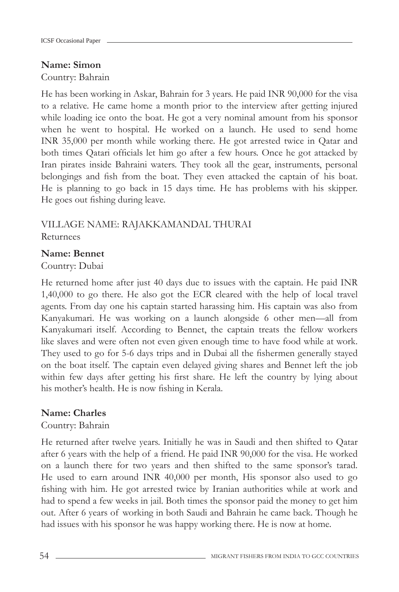# **Name: Simon**

#### Country: Bahrain

He has been working in Askar, Bahrain for 3 years. He paid INR 90,000 for the visa to a relative. He came home a month prior to the interview after getting injured while loading ice onto the boat. He got a very nominal amount from his sponsor when he went to hospital. He worked on a launch. He used to send home INR 35,000 per month while working there. He got arrested twice in Qatar and both times Qatari officials let him go after a few hours. Once he got attacked by Iran pirates inside Bahraini waters. They took all the gear, instruments, personal belongings and fish from the boat. They even attacked the captain of his boat. He is planning to go back in 15 days time. He has problems with his skipper. He goes out fishing during leave.

VILLAGE NAME: RAJAKKAMANDAL THURAI Returnees

#### **Name: Bennet**

Country: Dubai

He returned home after just 40 days due to issues with the captain. He paid INR 1,40,000 to go there. He also got the ECR cleared with the help of local travel agents. From day one his captain started harassing him. His captain was also from Kanyakumari. He was working on a launch alongside 6 other men—all from Kanyakumari itself. According to Bennet, the captain treats the fellow workers like slaves and were often not even given enough time to have food while at work. They used to go for 5-6 days trips and in Dubai all the fishermen generally stayed on the boat itself. The captain even delayed giving shares and Bennet left the job within few days after getting his first share. He left the country by lying about his mother's health. He is now fishing in Kerala.

#### **Name: Charles**

Country: Bahrain

He returned after twelve years. Initially he was in Saudi and then shifted to Qatar after 6 years with the help of a friend. He paid INR 90,000 for the visa. He worked on a launch there for two years and then shifted to the same sponsor's tarad. He used to earn around INR 40,000 per month, His sponsor also used to go fishing with him. He got arrested twice by Iranian authorities while at work and had to spend a few weeks in jail. Both times the sponsor paid the money to get him out. After 6 years of working in both Saudi and Bahrain he came back. Though he had issues with his sponsor he was happy working there. He is now at home.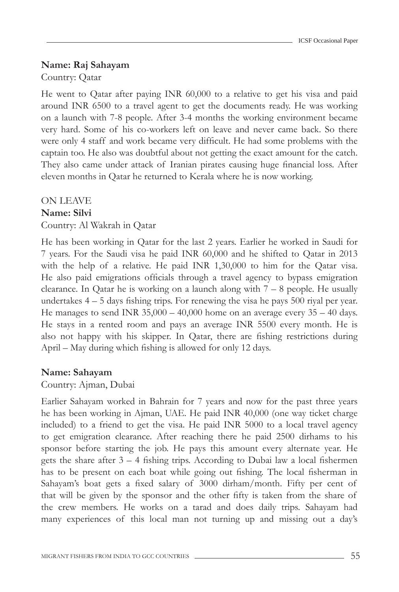#### **Name: Raj Sahayam**

#### Country: Qatar

He went to Qatar after paying INR 60,000 to a relative to get his visa and paid around INR 6500 to a travel agent to get the documents ready. He was working on a launch with 7-8 people. After 3-4 months the working environment became very hard. Some of his co-workers left on leave and never came back. So there were only 4 staff and work became very difficult. He had some problems with the captain too. He also was doubtful about not getting the exact amount for the catch. They also came under attack of Iranian pirates causing huge financial loss. After eleven months in Qatar he returned to Kerala where he is now working.

ON LEAVE

#### **Name: Silvi**

Country: Al Wakrah in Qatar

He has been working in Qatar for the last 2 years. Earlier he worked in Saudi for 7 years. For the Saudi visa he paid INR 60,000 and he shifted to Qatar in 2013 with the help of a relative. He paid INR 1,30,000 to him for the Qatar visa. He also paid emigrations officials through a travel agency to bypass emigration clearance. In Qatar he is working on a launch along with  $7 - 8$  people. He usually undertakes  $4 - 5$  days fishing trips. For renewing the visa he pays  $500$  riyal per year. He manages to send INR 35,000 – 40,000 home on an average every 35 – 40 days. He stays in a rented room and pays an average INR 5500 every month. He is also not happy with his skipper. In Qatar, there are fishing restrictions during April – May during which fishing is allowed for only 12 days.

#### **Name: Sahayam**

Country: Ajman, Dubai

Earlier Sahayam worked in Bahrain for 7 years and now for the past three years he has been working in Ajman, UAE. He paid INR 40,000 (one way ticket charge included) to a friend to get the visa. He paid INR 5000 to a local travel agency to get emigration clearance. After reaching there he paid 2500 dirhams to his sponsor before starting the job. He pays this amount every alternate year. He gets the share after  $3 - 4$  fishing trips. According to Dubai law a local fishermen has to be present on each boat while going out fishing. The local fisherman in Sahayam's boat gets a fixed salary of 3000 dirham/month. Fifty per cent of that will be given by the sponsor and the other fifty is taken from the share of the crew members. He works on a tarad and does daily trips. Sahayam had many experiences of this local man not turning up and missing out a day's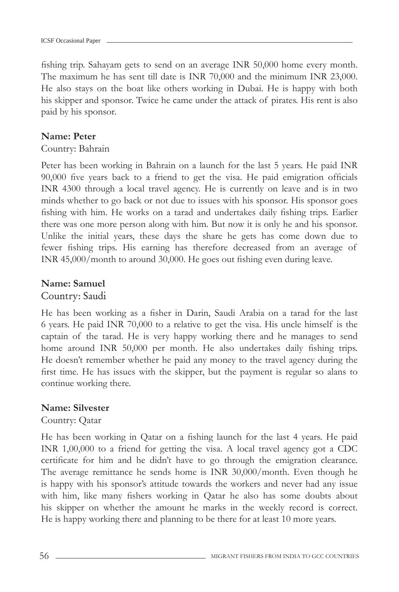fishing trip. Sahayam gets to send on an average INR 50,000 home every month. The maximum he has sent till date is INR 70,000 and the minimum INR 23,000. He also stays on the boat like others working in Dubai. He is happy with both his skipper and sponsor. Twice he came under the attack of pirates. His rent is also paid by his sponsor.

#### **Name: Peter**

#### Country: Bahrain

Peter has been working in Bahrain on a launch for the last 5 years. He paid INR  $90,000$  five years back to a friend to get the visa. He paid emigration officials INR 4300 through a local travel agency. He is currently on leave and is in two minds whether to go back or not due to issues with his sponsor. His sponsor goes fishing with him. He works on a tarad and undertakes daily fishing trips. Earlier there was one more person along with him. But now it is only he and his sponsor. Unlike the initial years, these days the share he gets has come down due to fewer fishing trips. His earning has therefore decreased from an average of INR 45,000/month to around 30,000. He goes out fishing even during leave.

# **Name: Samuel**

Country: Saudi

He has been working as a fisher in Darin, Saudi Arabia on a tarad for the last 6 years. He paid INR 70,000 to a relative to get the visa. His uncle himself is the captain of the tarad. He is very happy working there and he manages to send home around INR 50,000 per month. He also undertakes daily fishing trips. He doesn't remember whether he paid any money to the travel agency during the first time. He has issues with the skipper, but the payment is regular so alans to continue working there.

#### **Name: Silvester**

Country: Qatar

He has been working in Qatar on a fishing launch for the last 4 years. He paid INR 1,00,000 to a friend for getting the visa. A local travel agency got a CDC certificate for him and he didn't have to go through the emigration clearance. The average remittance he sends home is INR 30,000/month. Even though he is happy with his sponsor's attitude towards the workers and never had any issue with him, like many fishers working in Qatar he also has some doubts about his skipper on whether the amount he marks in the weekly record is correct. He is happy working there and planning to be there for at least 10 more years.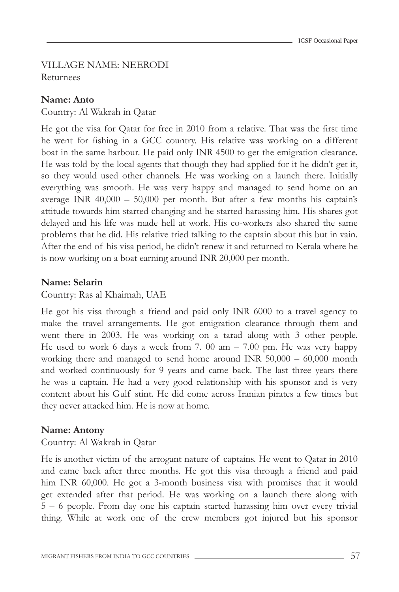# VILLAGE NAME: NEERODI Returnees

#### **Name: Anto**

Country: Al Wakrah in Qatar

He got the visa for Qatar for free in 2010 from a relative. That was the first time he went for fishing in a GCC country. His relative was working on a different boat in the same harbour. He paid only INR 4500 to get the emigration clearance. He was told by the local agents that though they had applied for it he didn't get it, so they would used other channels. He was working on a launch there. Initially everything was smooth. He was very happy and managed to send home on an average INR  $40,000 - 50,000$  per month. But after a few months his captain's attitude towards him started changing and he started harassing him. His shares got delayed and his life was made hell at work. His co-workers also shared the same problems that he did. His relative tried talking to the captain about this but in vain. After the end of his visa period, he didn't renew it and returned to Kerala where he is now working on a boat earning around INR 20,000 per month.

#### **Name: Selarin**

Country: Ras al Khaimah, UAE

He got his visa through a friend and paid only INR 6000 to a travel agency to make the travel arrangements. He got emigration clearance through them and went there in 2003. He was working on a tarad along with 3 other people. He used to work 6 days a week from 7. 00 am – 7.00 pm. He was very happy working there and managed to send home around INR 50,000 – 60,000 month and worked continuously for 9 years and came back. The last three years there he was a captain. He had a very good relationship with his sponsor and is very content about his Gulf stint. He did come across Iranian pirates a few times but they never attacked him. He is now at home.

#### **Name: Antony**

Country: Al Wakrah in Qatar

He is another victim of the arrogant nature of captains. He went to Qatar in 2010 and came back after three months. He got this visa through a friend and paid him INR 60,000. He got a 3-month business visa with promises that it would get extended after that period. He was working on a launch there along with 5 – 6 people. From day one his captain started harassing him over every trivial thing. While at work one of the crew members got injured but his sponsor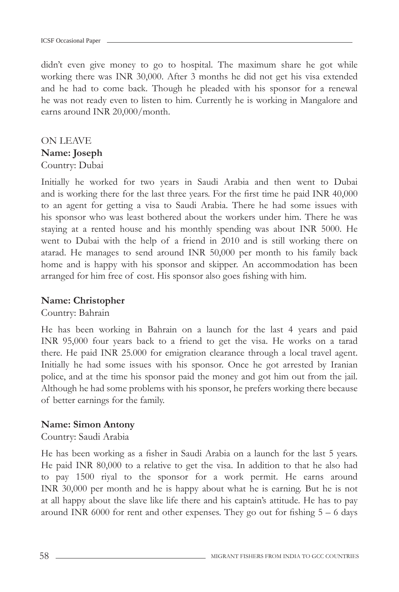didn't even give money to go to hospital. The maximum share he got while working there was INR 30,000. After 3 months he did not get his visa extended and he had to come back. Though he pleaded with his sponsor for a renewal he was not ready even to listen to him. Currently he is working in Mangalore and earns around INR 20,000/month.

# ON LEAVE **Name: Joseph**  Country: Dubai

Initially he worked for two years in Saudi Arabia and then went to Dubai and is working there for the last three years. For the first time he paid INR 40,000 to an agent for getting a visa to Saudi Arabia. There he had some issues with his sponsor who was least bothered about the workers under him. There he was staying at a rented house and his monthly spending was about INR 5000. He went to Dubai with the help of a friend in 2010 and is still working there on atarad. He manages to send around INR 50,000 per month to his family back home and is happy with his sponsor and skipper. An accommodation has been arranged for him free of cost. His sponsor also goes fishing with him.

#### **Name: Christopher**

Country: Bahrain

He has been working in Bahrain on a launch for the last 4 years and paid INR 95,000 four years back to a friend to get the visa. He works on a tarad there. He paid INR 25.000 for emigration clearance through a local travel agent. Initially he had some issues with his sponsor. Once he got arrested by Iranian police, and at the time his sponsor paid the money and got him out from the jail. Although he had some problems with his sponsor, he prefers working there because of better earnings for the family.

#### **Name: Simon Antony**

Country: Saudi Arabia

He has been working as a fisher in Saudi Arabia on a launch for the last 5 years. He paid INR 80,000 to a relative to get the visa. In addition to that he also had to pay 1500 riyal to the sponsor for a work permit. He earns around INR 30,000 per month and he is happy about what he is earning. But he is not at all happy about the slave like life there and his captain's attitude. He has to pay around INR 6000 for rent and other expenses. They go out for fishing  $5 - 6$  days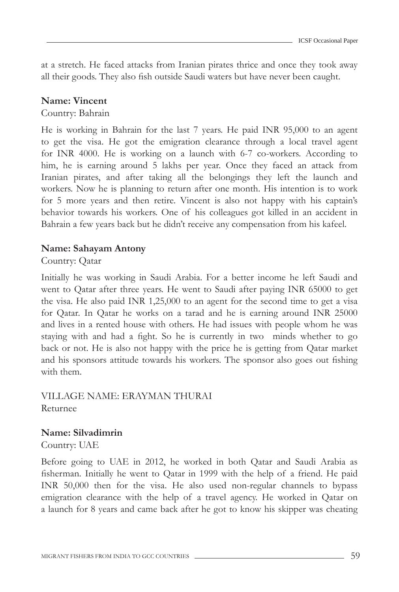at a stretch. He faced attacks from Iranian pirates thrice and once they took away all their goods. They also fish outside Saudi waters but have never been caught.

#### **Name: Vincent**

Country: Bahrain

He is working in Bahrain for the last 7 years. He paid INR 95,000 to an agent to get the visa. He got the emigration clearance through a local travel agent for INR 4000. He is working on a launch with 6-7 co-workers. According to him, he is earning around 5 lakhs per year. Once they faced an attack from Iranian pirates, and after taking all the belongings they left the launch and workers. Now he is planning to return after one month. His intention is to work for 5 more years and then retire. Vincent is also not happy with his captain's behavior towards his workers. One of his colleagues got killed in an accident in Bahrain a few years back but he didn't receive any compensation from his kafeel.

#### **Name: Sahayam Antony**

Country: Qatar

Initially he was working in Saudi Arabia. For a better income he left Saudi and went to Qatar after three years. He went to Saudi after paying INR 65000 to get the visa. He also paid INR 1,25,000 to an agent for the second time to get a visa for Qatar. In Qatar he works on a tarad and he is earning around INR 25000 and lives in a rented house with others. He had issues with people whom he was staying with and had a fight. So he is currently in two minds whether to go back or not. He is also not happy with the price he is getting from Qatar market and his sponsors attitude towards his workers. The sponsor also goes out fishing with them.

VILLAGE NAME: ERAYMAN THURAI Returnee

#### **Name: Silvadimrin**

Country: UAE

Before going to UAE in 2012, he worked in both Qatar and Saudi Arabia as fisherman. Initially he went to Qatar in 1999 with the help of a friend. He paid INR 50,000 then for the visa. He also used non-regular channels to bypass emigration clearance with the help of a travel agency. He worked in Qatar on a launch for 8 years and came back after he got to know his skipper was cheating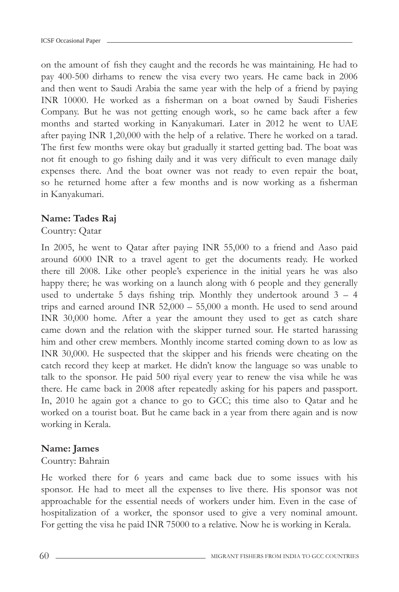on the amount of fish they caught and the records he was maintaining. He had to pay 400-500 dirhams to renew the visa every two years. He came back in 2006 and then went to Saudi Arabia the same year with the help of a friend by paying INR 10000. He worked as a fisherman on a boat owned by Saudi Fisheries Company. But he was not getting enough work, so he came back after a few months and started working in Kanyakumari. Later in 2012 he went to UAE after paying INR 1,20,000 with the help of a relative. There he worked on a tarad. The first few months were okay but gradually it started getting bad. The boat was not fit enough to go fishing daily and it was very difficult to even manage daily expenses there. And the boat owner was not ready to even repair the boat, so he returned home after a few months and is now working as a fisherman in Kanyakumari.

#### **Name: Tades Raj**

Country: Qatar

In 2005, he went to Qatar after paying INR 55,000 to a friend and Aaso paid around 6000 INR to a travel agent to get the documents ready. He worked there till 2008. Like other people's experience in the initial years he was also happy there; he was working on a launch along with 6 people and they generally used to undertake 5 days fishing trip. Monthly they undertook around  $3 - 4$ trips and earned around INR 52,000 – 55,000 a month. He used to send around INR 30,000 home. After a year the amount they used to get as catch share came down and the relation with the skipper turned sour. He started harassing him and other crew members. Monthly income started coming down to as low as INR 30,000. He suspected that the skipper and his friends were cheating on the catch record they keep at market. He didn't know the language so was unable to talk to the sponsor. He paid 500 riyal every year to renew the visa while he was there. He came back in 2008 after repeatedly asking for his papers and passport. In, 2010 he again got a chance to go to GCC; this time also to Qatar and he worked on a tourist boat. But he came back in a year from there again and is now working in Kerala.

#### **Name: James**

#### Country: Bahrain

He worked there for 6 years and came back due to some issues with his sponsor. He had to meet all the expenses to live there. His sponsor was not approachable for the essential needs of workers under him. Even in the case of hospitalization of a worker, the sponsor used to give a very nominal amount. For getting the visa he paid INR 75000 to a relative. Now he is working in Kerala.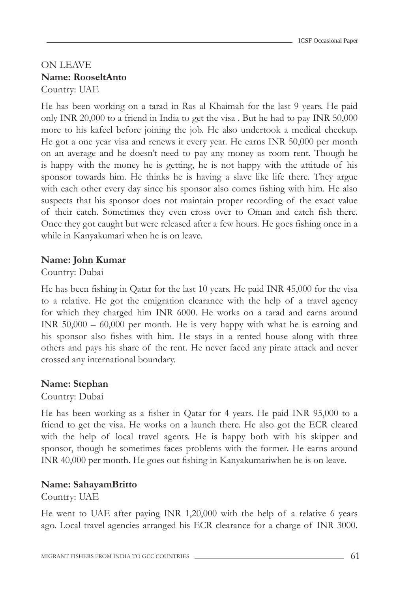# ON LEAVE **Name: RooseltAnto** Country: UAE

He has been working on a tarad in Ras al Khaimah for the last 9 years. He paid only INR 20,000 to a friend in India to get the visa . But he had to pay INR 50,000 more to his kafeel before joining the job. He also undertook a medical checkup. He got a one year visa and renews it every year. He earns INR 50,000 per month on an average and he doesn't need to pay any money as room rent. Though he is happy with the money he is getting, he is not happy with the attitude of his sponsor towards him. He thinks he is having a slave like life there. They argue with each other every day since his sponsor also comes fishing with him. He also suspects that his sponsor does not maintain proper recording of the exact value of their catch. Sometimes they even cross over to Oman and catch fish there. Once they got caught but were released after a few hours. He goes fishing once in a while in Kanyakumari when he is on leave.

# **Name: John Kumar**

#### Country: Dubai

He has been fishing in Qatar for the last 10 years. He paid INR 45,000 for the visa to a relative. He got the emigration clearance with the help of a travel agency for which they charged him INR 6000. He works on a tarad and earns around INR 50,000 – 60,000 per month. He is very happy with what he is earning and his sponsor also fishes with him. He stays in a rented house along with three others and pays his share of the rent. He never faced any pirate attack and never crossed any international boundary.

#### **Name: Stephan**

Country: Dubai

He has been working as a fisher in Qatar for 4 years. He paid INR 95,000 to a friend to get the visa. He works on a launch there. He also got the ECR cleared with the help of local travel agents. He is happy both with his skipper and sponsor, though he sometimes faces problems with the former. He earns around INR 40,000 per month. He goes out fishing in Kanyakumariwhen he is on leave.

#### **Name: SahayamBritto**

Country: UAE

He went to UAE after paying INR 1,20,000 with the help of a relative 6 years ago. Local travel agencies arranged his ECR clearance for a charge of INR 3000.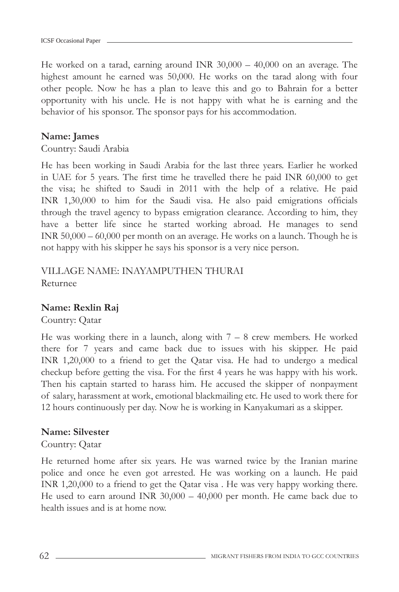He worked on a tarad, earning around INR 30,000 – 40,000 on an average. The highest amount he earned was 50,000. He works on the tarad along with four other people. Now he has a plan to leave this and go to Bahrain for a better opportunity with his uncle. He is not happy with what he is earning and the behavior of his sponsor. The sponsor pays for his accommodation.

#### **Name: James**

Country: Saudi Arabia

He has been working in Saudi Arabia for the last three years. Earlier he worked in UAE for 5 years. The first time he travelled there he paid INR  $60,000$  to get the visa; he shifted to Saudi in 2011 with the help of a relative. He paid INR 1,30,000 to him for the Saudi visa. He also paid emigrations officials through the travel agency to bypass emigration clearance. According to him, they have a better life since he started working abroad. He manages to send INR 50,000 – 60,000 per month on an average. He works on a launch. Though he is not happy with his skipper he says his sponsor is a very nice person.

# VILLAGE NAME: INAYAMPUTHEN THURAI Returnee

#### **Name: Rexlin Raj**

#### Country: Qatar

He was working there in a launch, along with  $7 - 8$  crew members. He worked there for 7 years and came back due to issues with his skipper. He paid INR 1,20,000 to a friend to get the Qatar visa. He had to undergo a medical checkup before getting the visa. For the first 4 years he was happy with his work. Then his captain started to harass him. He accused the skipper of nonpayment of salary, harassment at work, emotional blackmailing etc. He used to work there for 12 hours continuously per day. Now he is working in Kanyakumari as a skipper.

#### **Name: Silvester**

#### Country: Qatar

He returned home after six years. He was warned twice by the Iranian marine police and once he even got arrested. He was working on a launch. He paid INR 1,20,000 to a friend to get the Qatar visa . He was very happy working there. He used to earn around INR 30,000 – 40,000 per month. He came back due to health issues and is at home now.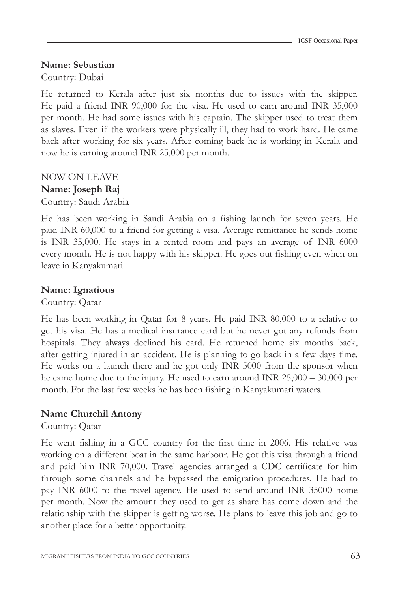# **Name: Sebastian**

Country: Dubai

He returned to Kerala after just six months due to issues with the skipper. He paid a friend INR 90,000 for the visa. He used to earn around INR 35,000 per month. He had some issues with his captain. The skipper used to treat them as slaves. Even if the workers were physically ill, they had to work hard. He came back after working for six years. After coming back he is working in Kerala and now he is earning around INR 25,000 per month.

NOW ON LEAVE **Name: Joseph Raj**  Country: Saudi Arabia

He has been working in Saudi Arabia on a fishing launch for seven years. He paid INR 60,000 to a friend for getting a visa. Average remittance he sends home is INR 35,000. He stays in a rented room and pays an average of INR 6000 every month. He is not happy with his skipper. He goes out fishing even when on leave in Kanyakumari.

# **Name: Ignatious**

Country: Qatar

He has been working in Qatar for 8 years. He paid INR 80,000 to a relative to get his visa. He has a medical insurance card but he never got any refunds from hospitals. They always declined his card. He returned home six months back, after getting injured in an accident. He is planning to go back in a few days time. He works on a launch there and he got only INR 5000 from the sponsor when he came home due to the injury. He used to earn around INR 25,000 – 30,000 per month. For the last few weeks he has been fishing in Kanyakumari waters.

# **Name Churchil Antony**

Country: Qatar

He went fishing in a GCC country for the first time in 2006. His relative was working on a different boat in the same harbour. He got this visa through a friend and paid him INR 70,000. Travel agencies arranged a CDC certificate for him through some channels and he bypassed the emigration procedures. He had to pay INR 6000 to the travel agency. He used to send around INR 35000 home per month. Now the amount they used to get as share has come down and the relationship with the skipper is getting worse. He plans to leave this job and go to another place for a better opportunity.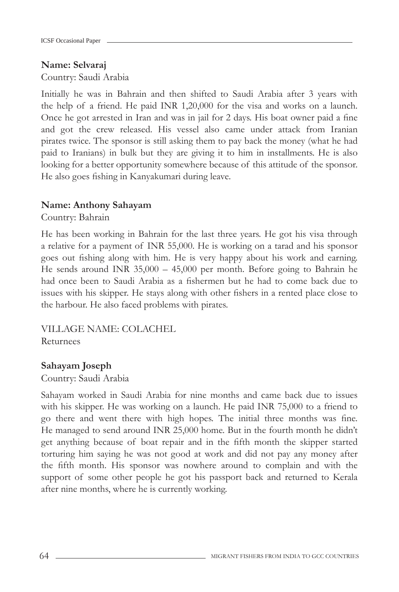#### **Name: Selvaraj**

Country: Saudi Arabia

Initially he was in Bahrain and then shifted to Saudi Arabia after 3 years with the help of a friend. He paid INR 1,20,000 for the visa and works on a launch. Once he got arrested in Iran and was in jail for 2 days. His boat owner paid a fine and got the crew released. His vessel also came under attack from Iranian pirates twice. The sponsor is still asking them to pay back the money (what he had paid to Iranians) in bulk but they are giving it to him in installments. He is also looking for a better opportunity somewhere because of this attitude of the sponsor. He also goes fishing in Kanyakumari during leave.

#### **Name: Anthony Sahayam**

Country: Bahrain

He has been working in Bahrain for the last three years. He got his visa through a relative for a payment of INR 55,000. He is working on a tarad and his sponsor goes out fishing along with him. He is very happy about his work and earning. He sends around INR 35,000 – 45,000 per month. Before going to Bahrain he had once been to Saudi Arabia as a fishermen but he had to come back due to issues with his skipper. He stays along with other fishers in a rented place close to the harbour. He also faced problems with pirates.

VILLAGE NAME: COLACHEL Returnees

#### **Sahayam Joseph**

Country: Saudi Arabia

Sahayam worked in Saudi Arabia for nine months and came back due to issues with his skipper. He was working on a launch. He paid INR 75,000 to a friend to go there and went there with high hopes. The initial three months was fine. He managed to send around INR 25,000 home. But in the fourth month he didn't get anything because of boat repair and in the fifth month the skipper started torturing him saying he was not good at work and did not pay any money after the fifth month. His sponsor was nowhere around to complain and with the support of some other people he got his passport back and returned to Kerala after nine months, where he is currently working.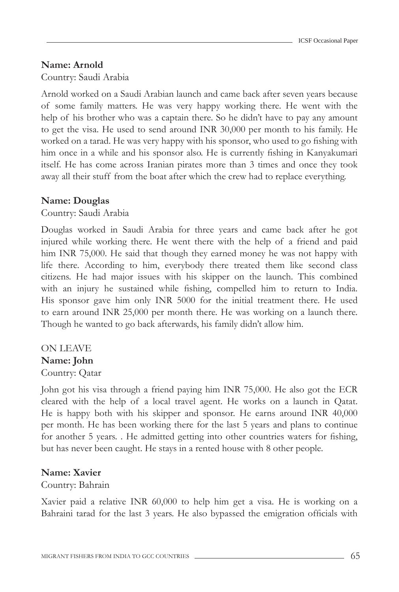# **Name: Arnold**

Country: Saudi Arabia

Arnold worked on a Saudi Arabian launch and came back after seven years because of some family matters. He was very happy working there. He went with the help of his brother who was a captain there. So he didn't have to pay any amount to get the visa. He used to send around INR 30,000 per month to his family. He worked on a tarad. He was very happy with his sponsor, who used to go fishing with him once in a while and his sponsor also. He is currently fishing in Kanyakumari itself. He has come across Iranian pirates more than 3 times and once they took away all their stuff from the boat after which the crew had to replace everything.

# **Name: Douglas**

Country: Saudi Arabia

Douglas worked in Saudi Arabia for three years and came back after he got injured while working there. He went there with the help of a friend and paid him INR 75,000. He said that though they earned money he was not happy with life there. According to him, everybody there treated them like second class citizens. He had major issues with his skipper on the launch. This combined with an injury he sustained while fishing, compelled him to return to India. His sponsor gave him only INR 5000 for the initial treatment there. He used to earn around INR 25,000 per month there. He was working on a launch there. Though he wanted to go back afterwards, his family didn't allow him.

# ON LEAVE **Name: John**

Country: Qatar

John got his visa through a friend paying him INR 75,000. He also got the ECR cleared with the help of a local travel agent. He works on a launch in Qatat. He is happy both with his skipper and sponsor. He earns around INR 40,000 per month. He has been working there for the last 5 years and plans to continue for another 5 years. . He admitted getting into other countries waters for fishing, but has never been caught. He stays in a rented house with 8 other people.

## **Name: Xavier**

Country: Bahrain

Xavier paid a relative INR 60,000 to help him get a visa. He is working on a Bahraini tarad for the last 3 years. He also bypassed the emigration officials with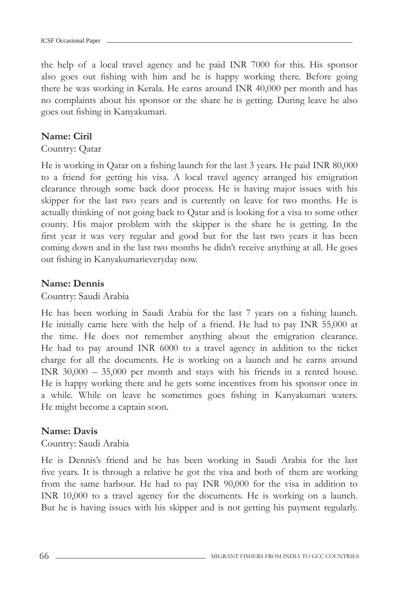the help of a local travel agency and he paid INR 7000 for this. His sponsor also goes out fishing with him and he is happy working there. Before going there he was working in Kerala. He earns around INR 40,000 per month and has no complaints about his sponsor or the share he is getting. During leave he also goes out fishing in Kanyakumari.

# **Name: Ciril**

#### Country: Qatar

He is working in Qatar on a fishing launch for the last 3 years. He paid INR 80,000 to a friend for getting his visa. A local travel agency arranged his emigration clearance through some back door process. He is having major issues with his skipper for the last two years and is currently on leave for two months. He is actually thinking of not going back to Qatar and is looking for a visa to some other county. His major problem with the skipper is the share he is getting. In the first year it was very regular and good but for the last two years it has been coming down and in the last two months he didn't receive anything at all. He goes out fishing in Kanyakumarieveryday now.

## **Name: Dennis**

Country: Saudi Arabia

He has been working in Saudi Arabia for the last 7 years on a fishing launch. He initially came here with the help of a friend. He had to pay INR 55,000 at the time. He does not remember anything about the emigration clearance. He had to pay around INR 6000 to a travel agency in addition to the ticket charge for all the documents. He is working on a launch and he earns around INR 30,000 – 35,000 per month and stays with his friends in a rented house. He is happy working there and he gets some incentives from his sponsor once in a while. While on leave he sometimes goes fishing in Kanyakumari waters. He might become a captain soon.

## **Name: Davis**

Country: Saudi Arabia

He is Dennis's friend and he has been working in Saudi Arabia for the last five years. It is through a relative he got the visa and both of them are working from the same harbour. He had to pay INR 90,000 for the visa in addition to INR 10,000 to a travel agency for the documents. He is working on a launch. But he is having issues with his skipper and is not getting his payment regularly.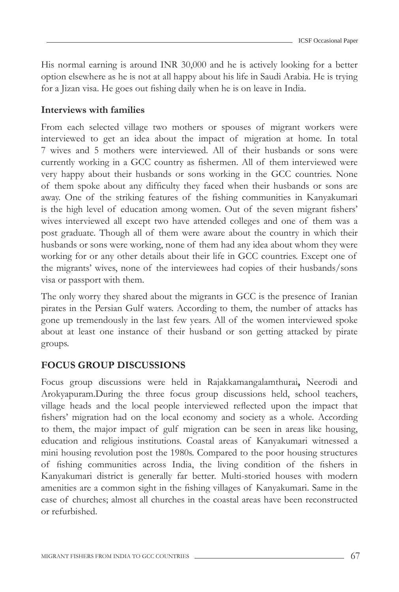His normal earning is around INR 30,000 and he is actively looking for a better option elsewhere as he is not at all happy about his life in Saudi Arabia. He is trying for a Jizan visa. He goes out fishing daily when he is on leave in India.

# **Interviews with families**

From each selected village two mothers or spouses of migrant workers were interviewed to get an idea about the impact of migration at home. In total 7 wives and 5 mothers were interviewed. All of their husbands or sons were currently working in a GCC country as fishermen. All of them interviewed were very happy about their husbands or sons working in the GCC countries. None of them spoke about any difficulty they faced when their husbands or sons are away. One of the striking features of the fishing communities in Kanyakumari is the high level of education among women. Out of the seven migrant fishers' wives interviewed all except two have attended colleges and one of them was a post graduate. Though all of them were aware about the country in which their husbands or sons were working, none of them had any idea about whom they were working for or any other details about their life in GCC countries. Except one of the migrants' wives, none of the interviewees had copies of their husbands/sons visa or passport with them.

The only worry they shared about the migrants in GCC is the presence of Iranian pirates in the Persian Gulf waters. According to them, the number of attacks has gone up tremendously in the last few years. All of the women interviewed spoke about at least one instance of their husband or son getting attacked by pirate groups.

# **FOCUS GROUP DISCUSSIONS**

Focus group discussions were held in Rajakkamangalamthurai**,** Neerodi and Arokyapuram.During the three focus group discussions held, school teachers, village heads and the local people interviewed reflected upon the impact that fishers' migration had on the local economy and society as a whole. According to them, the major impact of gulf migration can be seen in areas like housing, education and religious institutions. Coastal areas of Kanyakumari witnessed a mini housing revolution post the 1980s. Compared to the poor housing structures of fishing communities across India, the living condition of the fishers in Kanyakumari district is generally far better. Multi-storied houses with modern amenities are a common sight in the fishing villages of Kanyakumari. Same in the case of churches; almost all churches in the coastal areas have been reconstructed or refurbished.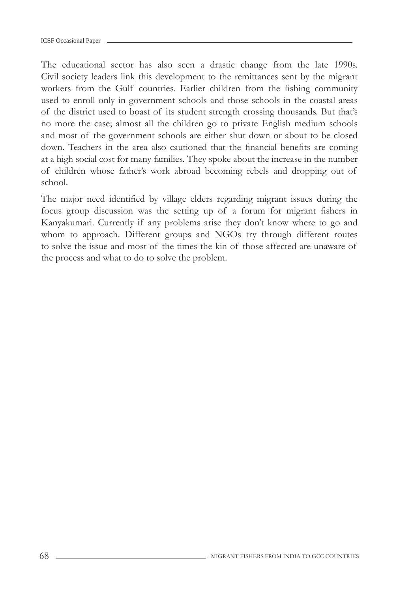The educational sector has also seen a drastic change from the late 1990s. Civil society leaders link this development to the remittances sent by the migrant workers from the Gulf countries. Earlier children from the fishing community used to enroll only in government schools and those schools in the coastal areas of the district used to boast of its student strength crossing thousands. But that's no more the case; almost all the children go to private English medium schools and most of the government schools are either shut down or about to be closed down. Teachers in the area also cautioned that the financial benefits are coming at a high social cost for many families. They spoke about the increase in the number of children whose father's work abroad becoming rebels and dropping out of school.

The major need identified by village elders regarding migrant issues during the focus group discussion was the setting up of a forum for migrant fishers in Kanyakumari. Currently if any problems arise they don't know where to go and whom to approach. Different groups and NGOs try through different routes to solve the issue and most of the times the kin of those affected are unaware of the process and what to do to solve the problem.